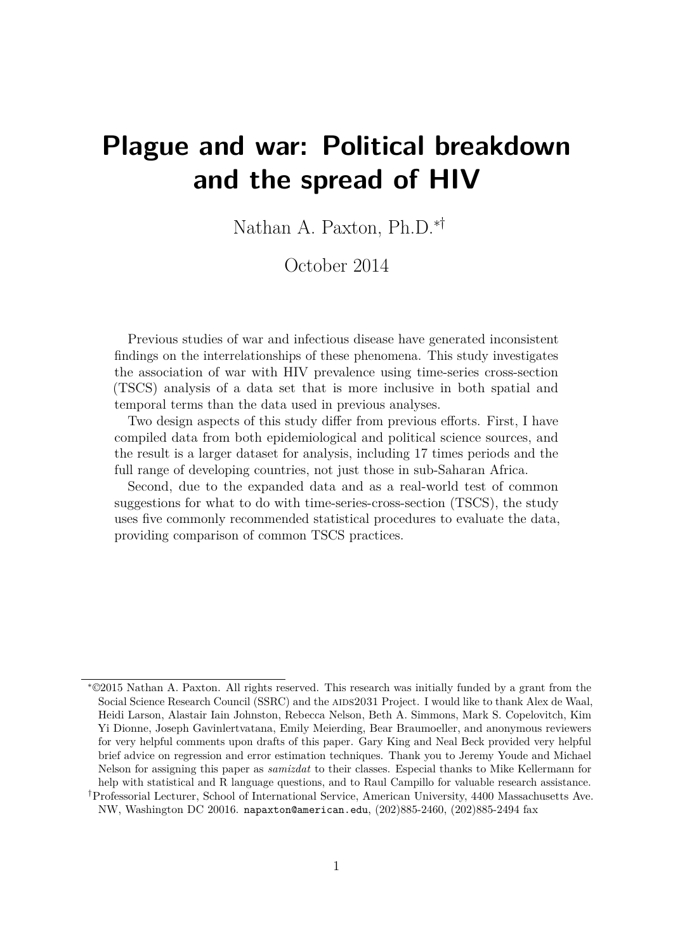# **Plague and war: Political breakdown and the spread of HIV**

Nathan A. Paxton, Ph.D.∗†

October 2014

Previous studies of war and infectious disease have generated inconsistent findings on the interrelationships of these phenomena. This study investigates the association of war with HIV prevalence using time-series cross-section (TSCS) analysis of a data set that is more inclusive in both spatial and temporal terms than the data used in previous analyses.

Two design aspects of this study differ from previous efforts. First, I have compiled data from both epidemiological and political science sources, and the result is a larger dataset for analysis, including 17 times periods and the full range of developing countries, not just those in sub-Saharan Africa.

Second, due to the expanded data and as a real-world test of common suggestions for what to do with time-series-cross-section (TSCS), the study uses five commonly recommended statistical procedures to evaluate the data, providing comparison of common TSCS practices.

<sup>∗</sup>©2015 Nathan A. Paxton. All rights reserved. This research was initially funded by a grant from the Social Science Research Council (SSRC) and the AIDS2031 Project. I would like to thank Alex de Waal, Heidi Larson, Alastair Iain Johnston, Rebecca Nelson, Beth A. Simmons, Mark S. Copelovitch, Kim Yi Dionne, Joseph Gavinlertvatana, Emily Meierding, Bear Braumoeller, and anonymous reviewers for very helpful comments upon drafts of this paper. Gary King and Neal Beck provided very helpful brief advice on regression and error estimation techniques. Thank you to Jeremy Youde and Michael Nelson for assigning this paper as *samizdat* to their classes. Especial thanks to Mike Kellermann for help with statistical and R language questions, and to Raul Campillo for valuable research assistance.

<sup>†</sup>Professorial Lecturer, School of International Service, American University, 4400 Massachusetts Ave. NW, Washington DC 20016. napaxton@american.edu, (202)885-2460, (202)885-2494 fax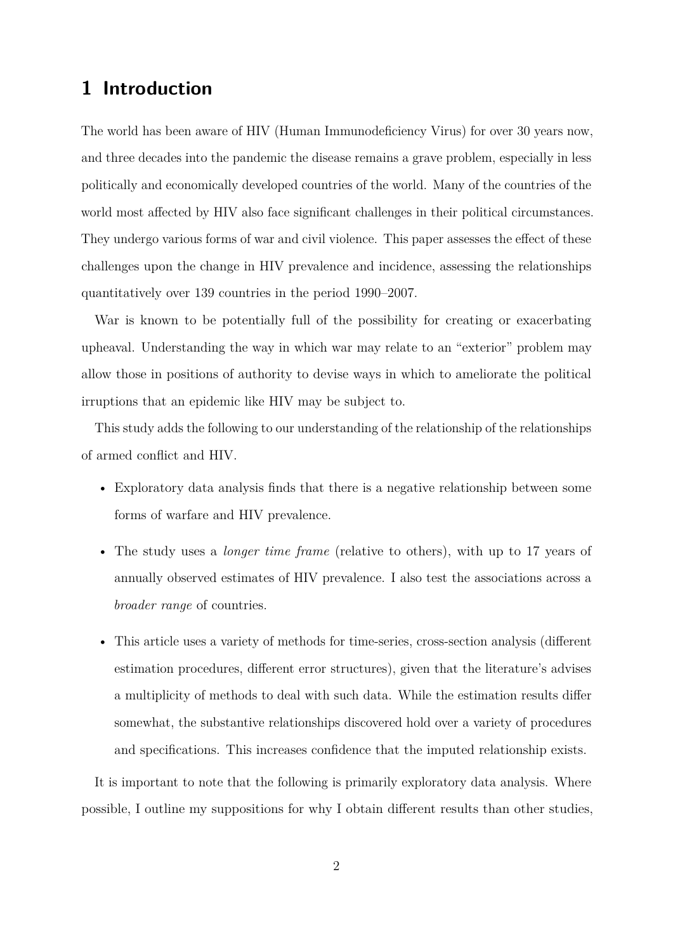# **1 Introduction**

The world has been aware of HIV (Human Immunodeficiency Virus) for over 30 years now, and three decades into the pandemic the disease remains a grave problem, especially in less politically and economically developed countries of the world. Many of the countries of the world most affected by HIV also face significant challenges in their political circumstances. They undergo various forms of war and civil violence. This paper assesses the effect of these challenges upon the change in HIV prevalence and incidence, assessing the relationships quantitatively over 139 countries in the period 1990–2007.

War is known to be potentially full of the possibility for creating or exacerbating upheaval. Understanding the way in which war may relate to an "exterior" problem may allow those in positions of authority to devise ways in which to ameliorate the political irruptions that an epidemic like HIV may be subject to.

This study adds the following to our understanding of the relationship of the relationships of armed conflict and HIV.

- Exploratory data analysis finds that there is a negative relationship between some forms of warfare and HIV prevalence.
- The study uses a *longer time frame* (relative to others), with up to 17 years of annually observed estimates of HIV prevalence. I also test the associations across a *broader range* of countries.
- This article uses a variety of methods for time-series, cross-section analysis (different estimation procedures, different error structures), given that the literature's advises a multiplicity of methods to deal with such data. While the estimation results differ somewhat, the substantive relationships discovered hold over a variety of procedures and specifications. This increases confidence that the imputed relationship exists.

It is important to note that the following is primarily exploratory data analysis. Where possible, I outline my suppositions for why I obtain different results than other studies,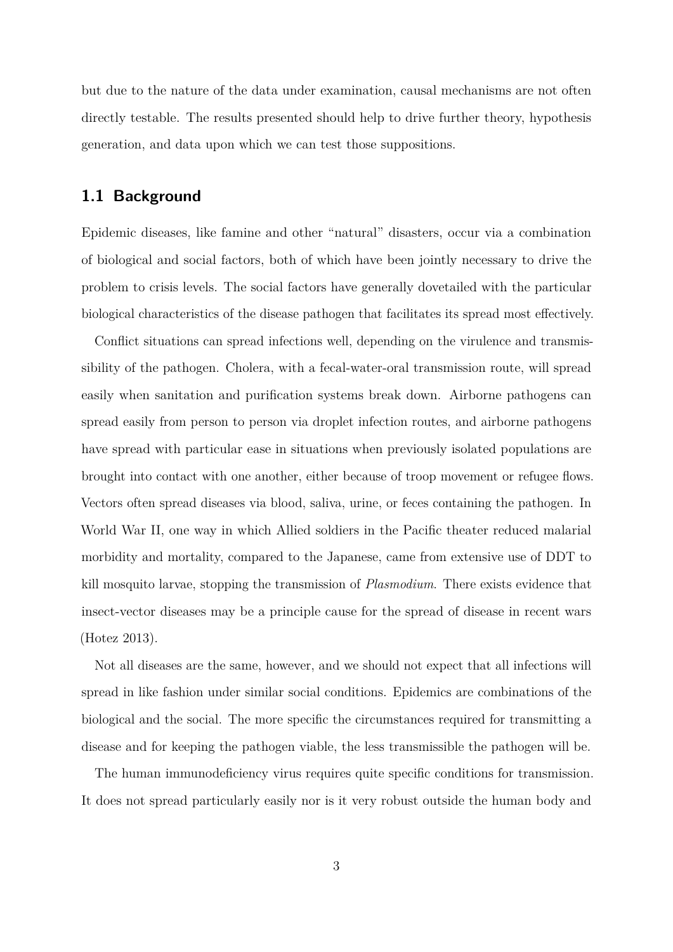but due to the nature of the data under examination, causal mechanisms are not often directly testable. The results presented should help to drive further theory, hypothesis generation, and data upon which we can test those suppositions.

## **1.1 Background**

Epidemic diseases, like famine and other "natural" disasters, occur via a combination of biological and social factors, both of which have been jointly necessary to drive the problem to crisis levels. The social factors have generally dovetailed with the particular biological characteristics of the disease pathogen that facilitates its spread most effectively.

Conflict situations can spread infections well, depending on the virulence and transmissibility of the pathogen. Cholera, with a fecal-water-oral transmission route, will spread easily when sanitation and purification systems break down. Airborne pathogens can spread easily from person to person via droplet infection routes, and airborne pathogens have spread with particular ease in situations when previously isolated populations are brought into contact with one another, either because of troop movement or refugee flows. Vectors often spread diseases via blood, saliva, urine, or feces containing the pathogen. In World War II, one way in which Allied soldiers in the Pacific theater reduced malarial morbidity and mortality, compared to the Japanese, came from extensive use of DDT to kill mosquito larvae, stopping the transmission of *Plasmodium*. There exists evidence that insect-vector diseases may be a principle cause for the spread of disease in recent wars [\(Hotez 2013\)](#page-20-0).

Not all diseases are the same, however, and we should not expect that all infections will spread in like fashion under similar social conditions. Epidemics are combinations of the biological and the social. The more specific the circumstances required for transmitting a disease and for keeping the pathogen viable, the less transmissible the pathogen will be.

The human immunodeficiency virus requires quite specific conditions for transmission. It does not spread particularly easily nor is it very robust outside the human body and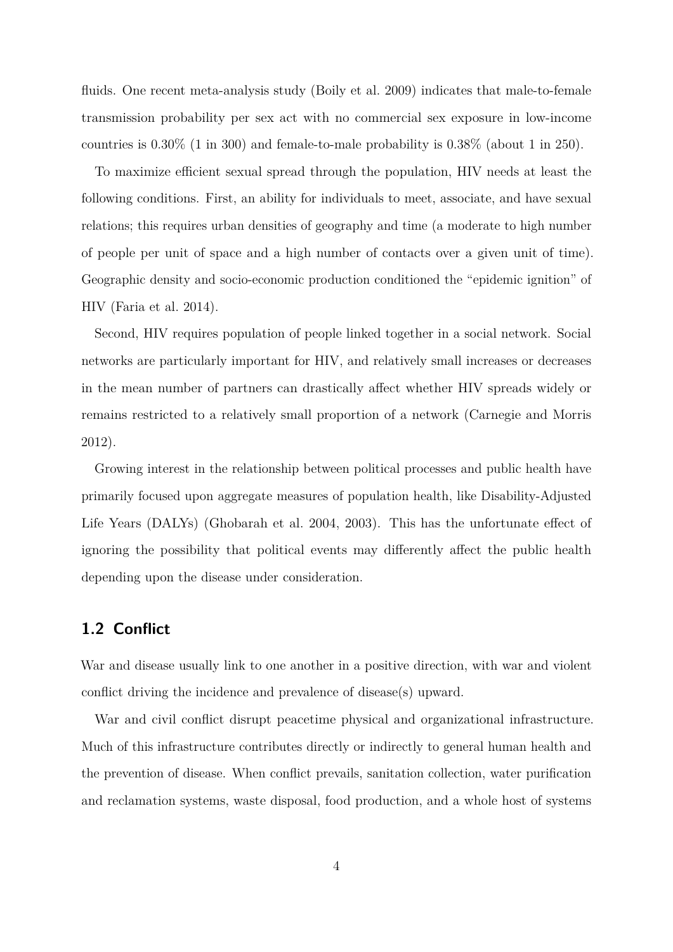fluids. One recent meta-analysis study [\(Boily et al. 2009\)](#page-20-1) indicates that male-to-female transmission probability per sex act with no commercial sex exposure in low-income countries is  $0.30\%$  (1 in 300) and female-to-male probability is  $0.38\%$  (about 1 in 250).

To maximize efficient sexual spread through the population, HIV needs at least the following conditions. First, an ability for individuals to meet, associate, and have sexual relations; this requires urban densities of geography and time (a moderate to high number of people per unit of space and a high number of contacts over a given unit of time). Geographic density and socio-economic production conditioned the "epidemic ignition" of HIV [\(Faria et al. 2014\)](#page-20-2).

Second, HIV requires population of people linked together in a social network. Social networks are particularly important for HIV, and relatively small increases or decreases in the mean number of partners can drastically affect whether HIV spreads widely or remains restricted to a relatively small proportion of a network [\(Carnegie and Morris](#page-20-3) [2012\)](#page-20-3).

Growing interest in the relationship between political processes and public health have primarily focused upon aggregate measures of population health, like Disability-Adjusted Life Years (DALYs) [\(Ghobarah et al. 2004,](#page-20-4) [2003\)](#page-20-5). This has the unfortunate effect of ignoring the possibility that political events may differently affect the public health depending upon the disease under consideration.

# **1.2 Conflict**

War and disease usually link to one another in a positive direction, with war and violent conflict driving the incidence and prevalence of disease(s) upward.

War and civil conflict disrupt peacetime physical and organizational infrastructure. Much of this infrastructure contributes directly or indirectly to general human health and the prevention of disease. When conflict prevails, sanitation collection, water purification and reclamation systems, waste disposal, food production, and a whole host of systems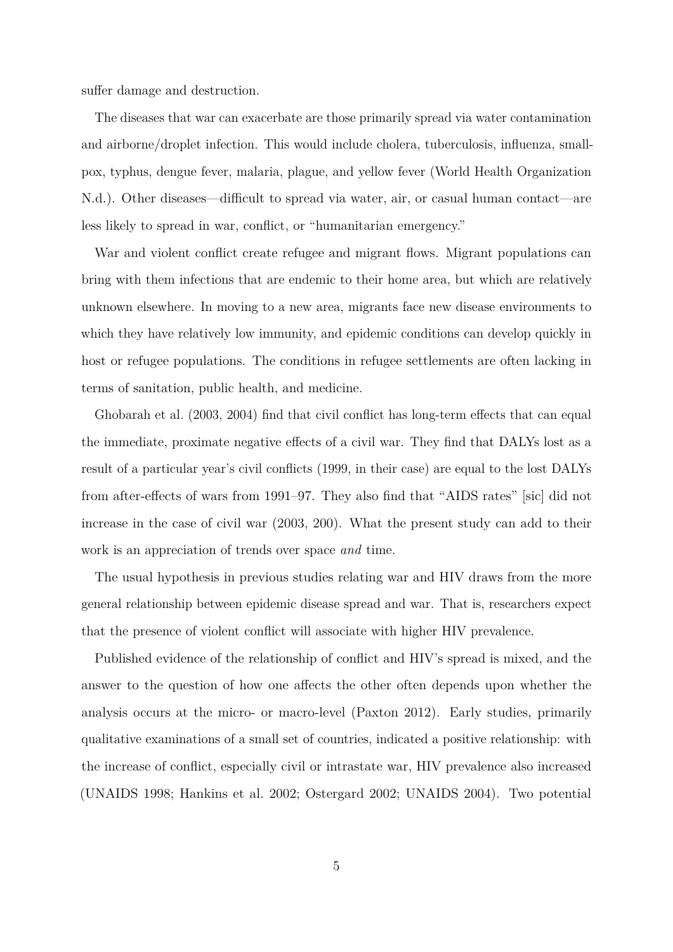suffer damage and destruction.

The diseases that war can exacerbate are those primarily spread via water contamination and airborne/droplet infection. This would include cholera, tuberculosis, influenza, smallpox, typhus, dengue fever, malaria, plague, and yellow fever [\(World Health Organization](#page-22-0) [N.d.\)](#page-22-0). Other diseases—difficult to spread via water, air, or casual human contact—are less likely to spread in war, conflict, or "humanitarian emergency."

War and violent conflict create refugee and migrant flows. Migrant populations can bring with them infections that are endemic to their home area, but which are relatively unknown elsewhere. In moving to a new area, migrants face new disease environments to which they have relatively low immunity, and epidemic conditions can develop quickly in host or refugee populations. The conditions in refugee settlements are often lacking in terms of sanitation, public health, and medicine.

[Ghobarah et al.](#page-20-5) [\(2003,](#page-20-5) [2004\)](#page-20-4) find that civil conflict has long-term effects that can equal the immediate, proximate negative effects of a civil war. They find that DALYs lost as a result of a particular year's civil conflicts (1999, in their case) are equal to the lost DALYs from after-effects of wars from 1991–97. They also find that "AIDS rates" [sic] did not increase in the case of civil war (2003, 200). What the present study can add to their work is an appreciation of trends over space *and* time.

The usual hypothesis in previous studies relating war and HIV draws from the more general relationship between epidemic disease spread and war. That is, researchers expect that the presence of violent conflict will associate with higher HIV prevalence.

Published evidence of the relationship of conflict and HIV's spread is mixed, and the answer to the question of how one affects the other often depends upon whether the analysis occurs at the micro- or macro-level [\(Paxton 2012\)](#page-21-0). Early studies, primarily qualitative examinations of a small set of countries, indicated a positive relationship: with the increase of conflict, especially civil or intrastate war, HIV prevalence also increased [\(UNAIDS 1998;](#page-21-1) [Hankins et al. 2002;](#page-20-6) [Ostergard 2002;](#page-21-2) [UNAIDS 2004\)](#page-21-3). Two potential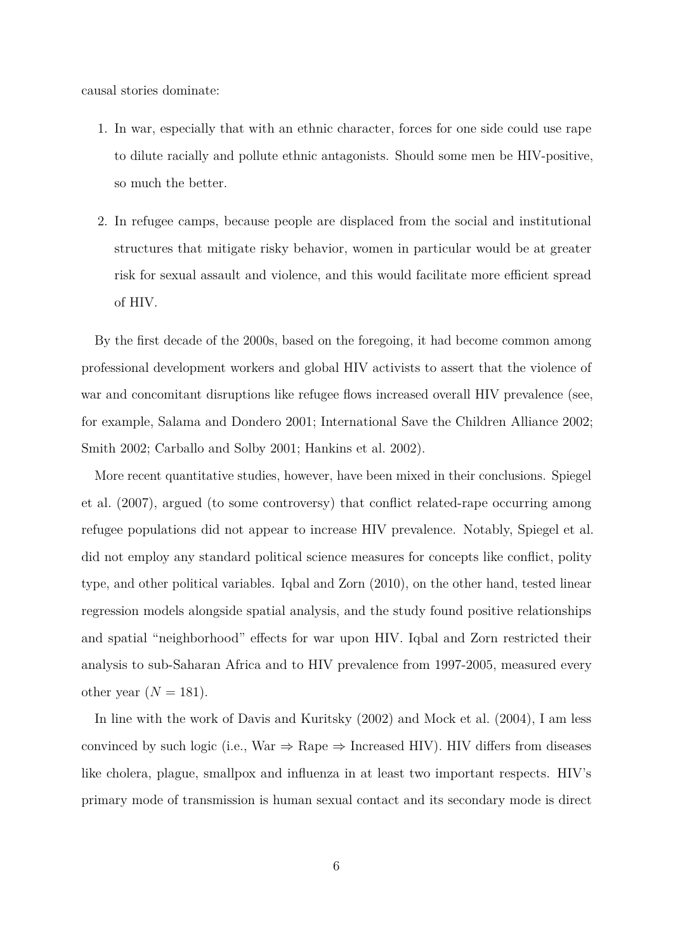causal stories dominate:

- 1. In war, especially that with an ethnic character, forces for one side could use rape to dilute racially and pollute ethnic antagonists. Should some men be HIV-positive, so much the better.
- 2. In refugee camps, because people are displaced from the social and institutional structures that mitigate risky behavior, women in particular would be at greater risk for sexual assault and violence, and this would facilitate more efficient spread of HIV.

By the first decade of the 2000s, based on the foregoing, it had become common among professional development workers and global HIV activists to assert that the violence of war and concomitant disruptions like refugee flows increased overall HIV prevalence (see, for example, [Salama and Dondero 2001;](#page-21-4) [International Save the Children Alliance 2002;](#page-21-5) [Smith 2002;](#page-21-6) [Carballo and Solby 2001;](#page-20-7) [Hankins et al. 2002\)](#page-20-6).

More recent quantitative studies, however, have been mixed in their conclusions. [Spiegel](#page-21-7) [et al.](#page-21-7) [\(2007\)](#page-21-7), argued (to some controversy) that conflict related-rape occurring among refugee populations did not appear to increase HIV prevalence. Notably, [Spiegel et al.](#page-21-7) did not employ any standard political science measures for concepts like conflict, polity type, and other political variables. [Iqbal and Zorn](#page-21-8) [\(2010\)](#page-21-8), on the other hand, tested linear regression models alongside spatial analysis, and the study found positive relationships and spatial "neighborhood" effects for war upon HIV. [Iqbal and Zorn](#page-21-8) restricted their analysis to sub-Saharan Africa and to HIV prevalence from 1997-2005, measured every other year  $(N = 181)$ .

In line with the work of [Davis and Kuritsky](#page-20-8) [\(2002\)](#page-20-8) and [Mock et al.](#page-21-9) [\(2004\)](#page-21-9), I am less convinced by such logic (i.e., War  $\Rightarrow$  Rape  $\Rightarrow$  Increased HIV). HIV differs from diseases like cholera, plague, smallpox and influenza in at least two important respects. HIV's primary mode of transmission is human sexual contact and its secondary mode is direct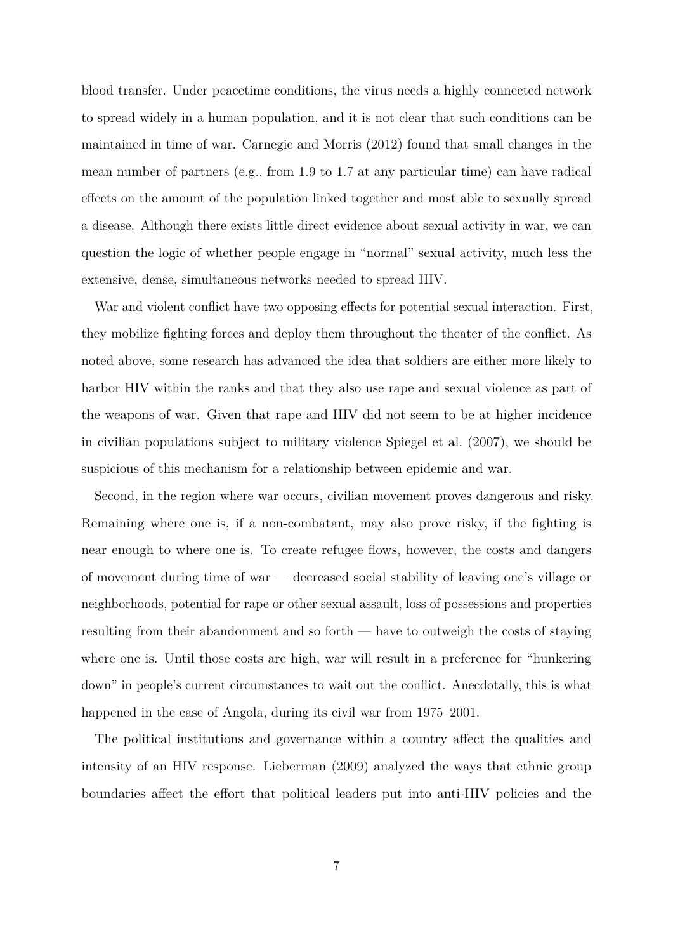blood transfer. Under peacetime conditions, the virus needs a highly connected network to spread widely in a human population, and it is not clear that such conditions can be maintained in time of war. [Carnegie and Morris](#page-20-3) [\(2012\)](#page-20-3) found that small changes in the mean number of partners (e.g., from 1.9 to 1.7 at any particular time) can have radical effects on the amount of the population linked together and most able to sexually spread a disease. Although there exists little direct evidence about sexual activity in war, we can question the logic of whether people engage in "normal" sexual activity, much less the extensive, dense, simultaneous networks needed to spread HIV.

War and violent conflict have two opposing effects for potential sexual interaction. First, they mobilize fighting forces and deploy them throughout the theater of the conflict. As noted above, some research has advanced the idea that soldiers are either more likely to harbor HIV within the ranks and that they also use rape and sexual violence as part of the weapons of war. Given that rape and HIV did not seem to be at higher incidence in civilian populations subject to military violence [Spiegel et al.](#page-21-7) [\(2007\)](#page-21-7), we should be suspicious of this mechanism for a relationship between epidemic and war.

Second, in the region where war occurs, civilian movement proves dangerous and risky. Remaining where one is, if a non-combatant, may also prove risky, if the fighting is near enough to where one is. To create refugee flows, however, the costs and dangers of movement during time of war — decreased social stability of leaving one's village or neighborhoods, potential for rape or other sexual assault, loss of possessions and properties resulting from their abandonment and so forth — have to outweigh the costs of staying where one is. Until those costs are high, war will result in a preference for "hunkering down" in people's current circumstances to wait out the conflict. Anecdotally, this is what happened in the case of Angola, during its civil war from 1975–2001.

The political institutions and governance within a country affect the qualities and intensity of an HIV response. [Lieberman](#page-21-10) [\(2009\)](#page-21-10) analyzed the ways that ethnic group boundaries affect the effort that political leaders put into anti-HIV policies and the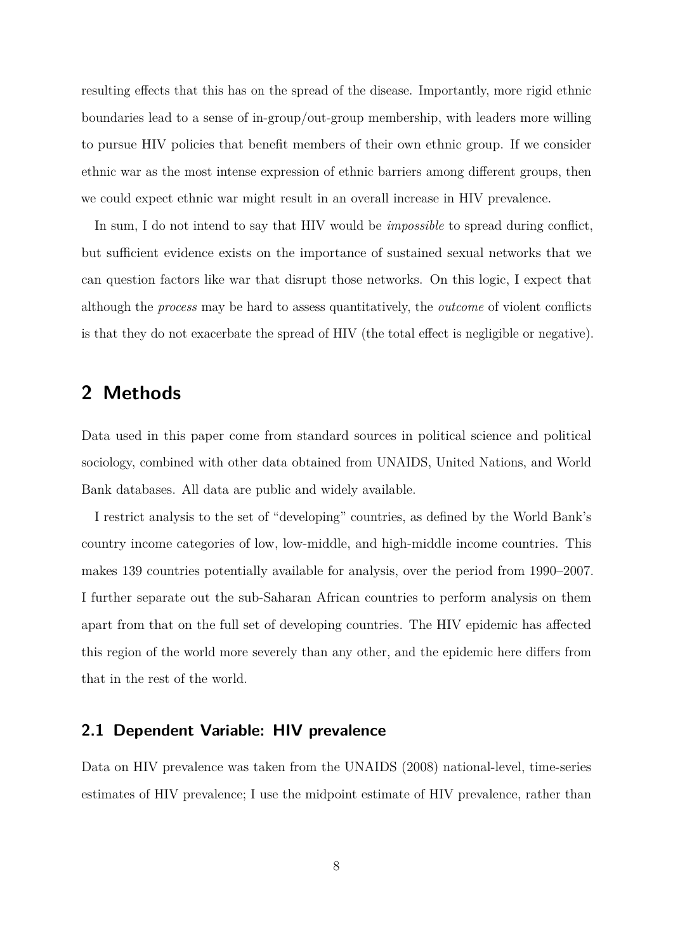resulting effects that this has on the spread of the disease. Importantly, more rigid ethnic boundaries lead to a sense of in-group/out-group membership, with leaders more willing to pursue HIV policies that benefit members of their own ethnic group. If we consider ethnic war as the most intense expression of ethnic barriers among different groups, then we could expect ethnic war might result in an overall increase in HIV prevalence.

In sum, I do not intend to say that HIV would be *impossible* to spread during conflict, but sufficient evidence exists on the importance of sustained sexual networks that we can question factors like war that disrupt those networks. On this logic, I expect that although the *process* may be hard to assess quantitatively, the *outcome* of violent conflicts is that they do not exacerbate the spread of HIV (the total effect is negligible or negative).

# **2 Methods**

Data used in this paper come from standard sources in political science and political sociology, combined with other data obtained from UNAIDS, United Nations, and World Bank databases. All data are public and widely available.

I restrict analysis to the set of "developing" countries, as defined by the World Bank's country income categories of low, low-middle, and high-middle income countries. This makes 139 countries potentially available for analysis, over the period from 1990–2007. I further separate out the sub-Saharan African countries to perform analysis on them apart from that on the full set of developing countries. The HIV epidemic has affected this region of the world more severely than any other, and the epidemic here differs from that in the rest of the world.

### **2.1 Dependent Variable: HIV prevalence**

Data on HIV prevalence was taken from the [UNAIDS](#page-22-1) [\(2008\)](#page-22-1) national-level, time-series estimates of HIV prevalence; I use the midpoint estimate of HIV prevalence, rather than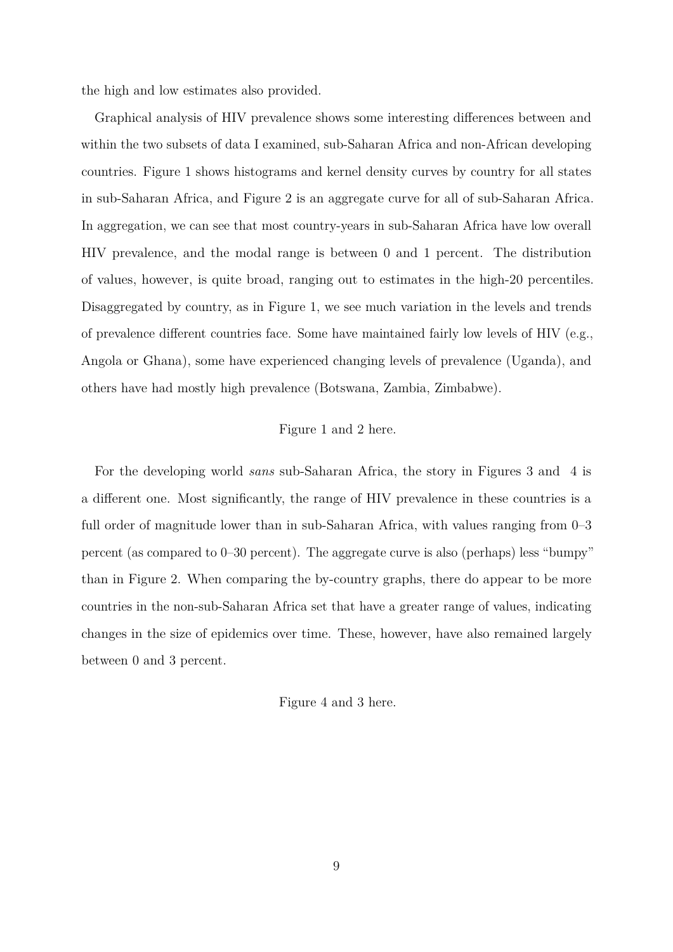the high and low estimates also provided.

Graphical analysis of HIV prevalence shows some interesting differences between and within the two subsets of data I examined, sub-Saharan Africa and non-African developing countries. Figure [1](#page-23-0) shows histograms and kernel density curves by country for all states in sub-Saharan Africa, and Figure [2](#page-24-0) is an aggregate curve for all of sub-Saharan Africa. In aggregation, we can see that most country-years in sub-Saharan Africa have low overall HIV prevalence, and the modal range is between 0 and 1 percent. The distribution of values, however, is quite broad, ranging out to estimates in the high-20 percentiles. Disaggregated by country, as in Figure [1,](#page-23-0) we see much variation in the levels and trends of prevalence different countries face. Some have maintained fairly low levels of HIV (e.g., Angola or Ghana), some have experienced changing levels of prevalence (Uganda), and others have had mostly high prevalence (Botswana, Zambia, Zimbabwe).

#### Figure [1](#page-23-0) and [2](#page-24-0) here.

For the developing world *sans* sub-Saharan Africa, the story in Figures [3](#page-25-0) and [4](#page-26-0) is a different one. Most significantly, the range of HIV prevalence in these countries is a full order of magnitude lower than in sub-Saharan Africa, with values ranging from 0–3 percent (as compared to 0–30 percent). The aggregate curve is also (perhaps) less "bumpy" than in Figure [2.](#page-24-0) When comparing the by-country graphs, there do appear to be more countries in the non-sub-Saharan Africa set that have a greater range of values, indicating changes in the size of epidemics over time. These, however, have also remained largely between 0 and 3 percent.

Figure [4](#page-26-0) and [3](#page-25-0) here.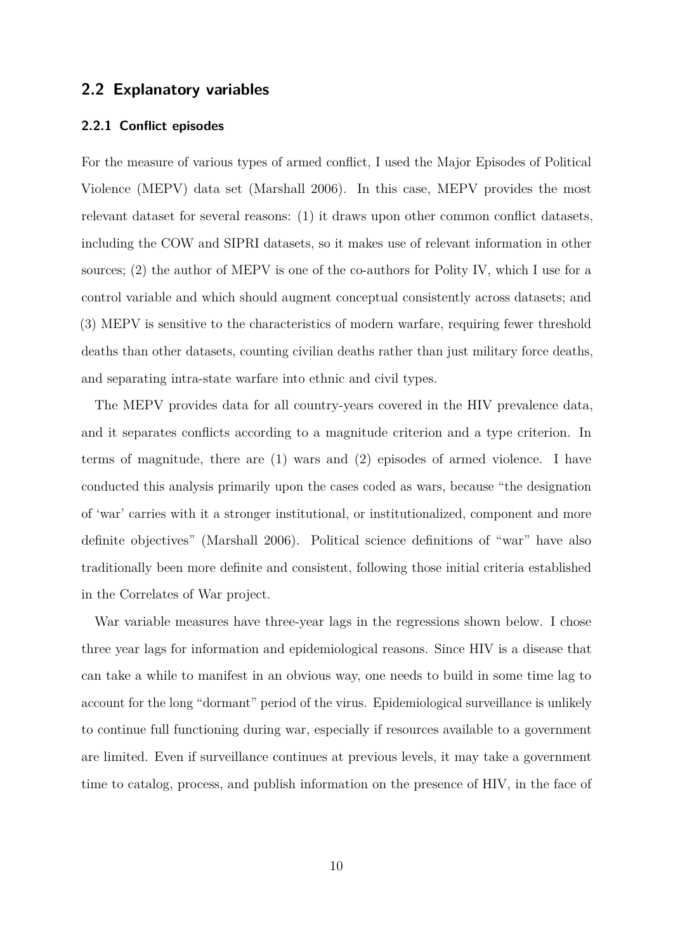### **2.2 Explanatory variables**

#### **2.2.1 Conflict episodes**

For the measure of various types of armed conflict, I used the Major Episodes of Political Violence (MEPV) data set [\(Marshall 2006\)](#page-21-11). In this case, MEPV provides the most relevant dataset for several reasons: (1) it draws upon other common conflict datasets, including the COW and SIPRI datasets, so it makes use of relevant information in other sources; (2) the author of MEPV is one of the co-authors for Polity IV, which I use for a control variable and which should augment conceptual consistently across datasets; and (3) MEPV is sensitive to the characteristics of modern warfare, requiring fewer threshold deaths than other datasets, counting civilian deaths rather than just military force deaths, and separating intra-state warfare into ethnic and civil types.

The MEPV provides data for all country-years covered in the HIV prevalence data, and it separates conflicts according to a magnitude criterion and a type criterion. In terms of magnitude, there are (1) wars and (2) episodes of armed violence. I have conducted this analysis primarily upon the cases coded as wars, because "the designation of 'war' carries with it a stronger institutional, or institutionalized, component and more definite objectives" [\(Marshall 2006\)](#page-21-11). Political science definitions of "war" have also traditionally been more definite and consistent, following those initial criteria established in the Correlates of War project.

War variable measures have three-year lags in the regressions shown below. I chose three year lags for information and epidemiological reasons. Since HIV is a disease that can take a while to manifest in an obvious way, one needs to build in some time lag to account for the long "dormant" period of the virus. Epidemiological surveillance is unlikely to continue full functioning during war, especially if resources available to a government are limited. Even if surveillance continues at previous levels, it may take a government time to catalog, process, and publish information on the presence of HIV, in the face of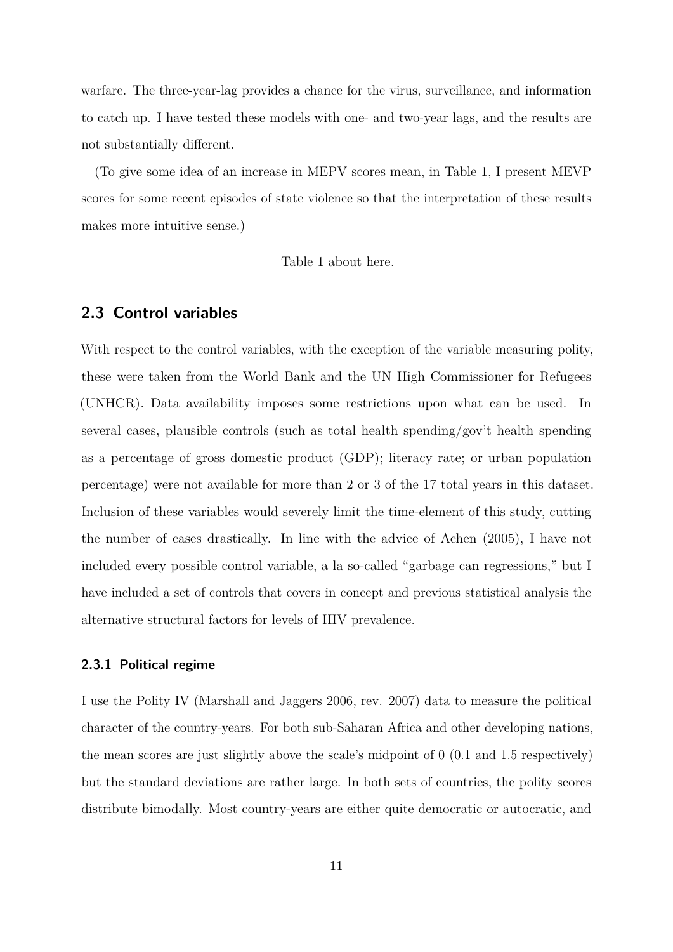warfare. The three-year-lag provides a chance for the virus, surveillance, and information to catch up. I have tested these models with one- and two-year lags, and the results are not substantially different.

(To give some idea of an increase in MEPV scores mean, in Table [1,](#page-27-0) I present MEVP scores for some recent episodes of state violence so that the interpretation of these results makes more intuitive sense.)

Table [1](#page-27-0) about here.

# **2.3 Control variables**

With respect to the control variables, with the exception of the variable measuring polity, these were taken from the World Bank and the UN High Commissioner for Refugees (UNHCR). Data availability imposes some restrictions upon what can be used. In several cases, plausible controls (such as total health spending/gov't health spending as a percentage of gross domestic product (GDP); literacy rate; or urban population percentage) were not available for more than 2 or 3 of the 17 total years in this dataset. Inclusion of these variables would severely limit the time-element of this study, cutting the number of cases drastically. In line with the advice of [Achen](#page-19-0) [\(2005\)](#page-19-0), I have not included every possible control variable, a la so-called "garbage can regressions," but I have included a set of controls that covers in concept and previous statistical analysis the alternative structural factors for levels of HIV prevalence.

#### **2.3.1 Political regime**

I use the Polity IV [\(Marshall and Jaggers 2006, rev. 2007\)](#page-21-12) data to measure the political character of the country-years. For both sub-Saharan Africa and other developing nations, the mean scores are just slightly above the scale's midpoint of 0 (0.1 and 1.5 respectively) but the standard deviations are rather large. In both sets of countries, the polity scores distribute bimodally. Most country-years are either quite democratic or autocratic, and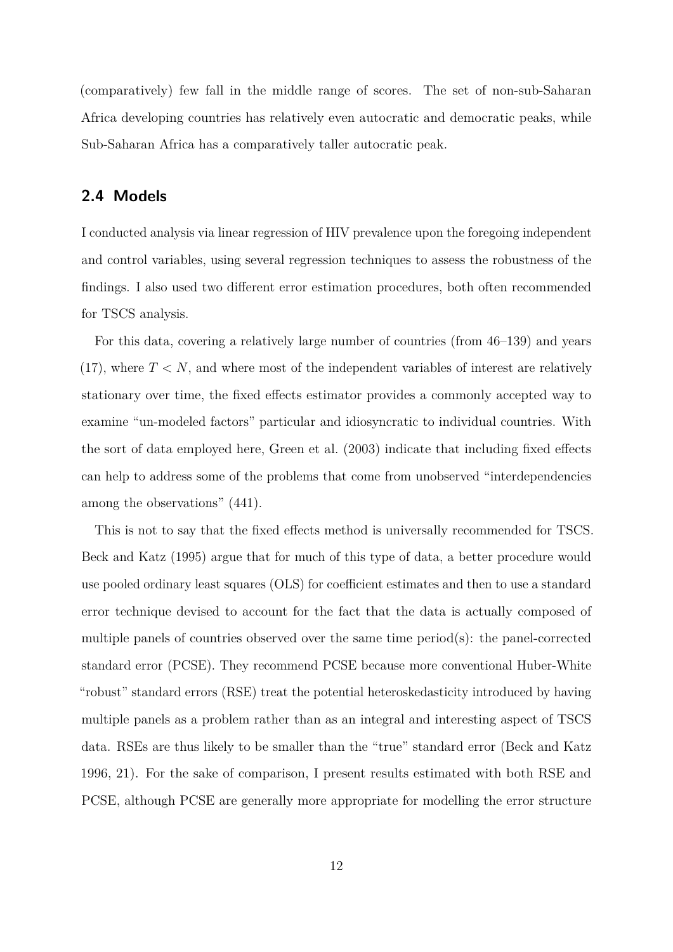(comparatively) few fall in the middle range of scores. The set of non-sub-Saharan Africa developing countries has relatively even autocratic and democratic peaks, while Sub-Saharan Africa has a comparatively taller autocratic peak.

# **2.4 Models**

I conducted analysis via linear regression of HIV prevalence upon the foregoing independent and control variables, using several regression techniques to assess the robustness of the findings. I also used two different error estimation procedures, both often recommended for TSCS analysis.

For this data, covering a relatively large number of countries (from 46–139) and years  $(17)$ , where  $T < N$ , and where most of the independent variables of interest are relatively stationary over time, the fixed effects estimator provides a commonly accepted way to examine "un-modeled factors" particular and idiosyncratic to individual countries. With the sort of data employed here, [Green et al.](#page-20-9) [\(2003\)](#page-20-9) indicate that including fixed effects can help to address some of the problems that come from unobserved "interdependencies among the observations" (441).

This is not to say that the fixed effects method is universally recommended for TSCS. [Beck and Katz](#page-19-1) [\(1995\)](#page-19-1) argue that for much of this type of data, a better procedure would use pooled ordinary least squares (OLS) for coefficient estimates and then to use a standard error technique devised to account for the fact that the data is actually composed of multiple panels of countries observed over the same time period $(s)$ : the panel-corrected standard error (PCSE). They recommend PCSE because more conventional Huber-White "robust" standard errors (RSE) treat the potential heteroskedasticity introduced by having multiple panels as a problem rather than as an integral and interesting aspect of TSCS data. RSEs are thus likely to be smaller than the "true" standard error [\(Beck and Katz](#page-20-10) [1996,](#page-20-10) 21). For the sake of comparison, I present results estimated with both RSE and PCSE, although PCSE are generally more appropriate for modelling the error structure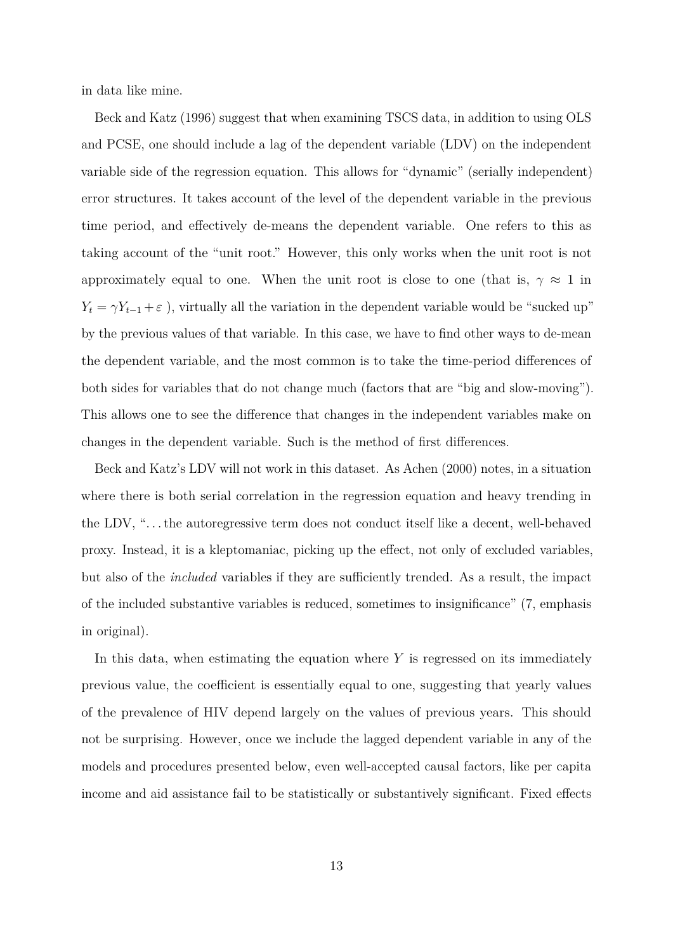in data like mine.

[Beck and Katz](#page-20-10) [\(1996\)](#page-20-10) suggest that when examining TSCS data, in addition to using OLS and PCSE, one should include a lag of the dependent variable (LDV) on the independent variable side of the regression equation. This allows for "dynamic" (serially independent) error structures. It takes account of the level of the dependent variable in the previous time period, and effectively de-means the dependent variable. One refers to this as taking account of the "unit root." However, this only works when the unit root is not approximately equal to one. When the unit root is close to one (that is,  $\gamma \approx 1$  in  $Y_t = \gamma Y_{t-1} + \varepsilon$ , virtually all the variation in the dependent variable would be "sucked up" by the previous values of that variable. In this case, we have to find other ways to de-mean the dependent variable, and the most common is to take the time-period differences of both sides for variables that do not change much (factors that are "big and slow-moving"). This allows one to see the difference that changes in the independent variables make on changes in the dependent variable. Such is the method of first differences.

Beck and Katz's LDV will not work in this dataset. As [Achen](#page-19-2) [\(2000\)](#page-19-2) notes, in a situation where there is both serial correlation in the regression equation and heavy trending in the LDV, ". . . the autoregressive term does not conduct itself like a decent, well-behaved proxy. Instead, it is a kleptomaniac, picking up the effect, not only of excluded variables, but also of the *included* variables if they are sufficiently trended. As a result, the impact of the included substantive variables is reduced, sometimes to insignificance" (7, emphasis in original).

In this data, when estimating the equation where *Y* is regressed on its immediately previous value, the coefficient is essentially equal to one, suggesting that yearly values of the prevalence of HIV depend largely on the values of previous years. This should not be surprising. However, once we include the lagged dependent variable in any of the models and procedures presented below, even well-accepted causal factors, like per capita income and aid assistance fail to be statistically or substantively significant. Fixed effects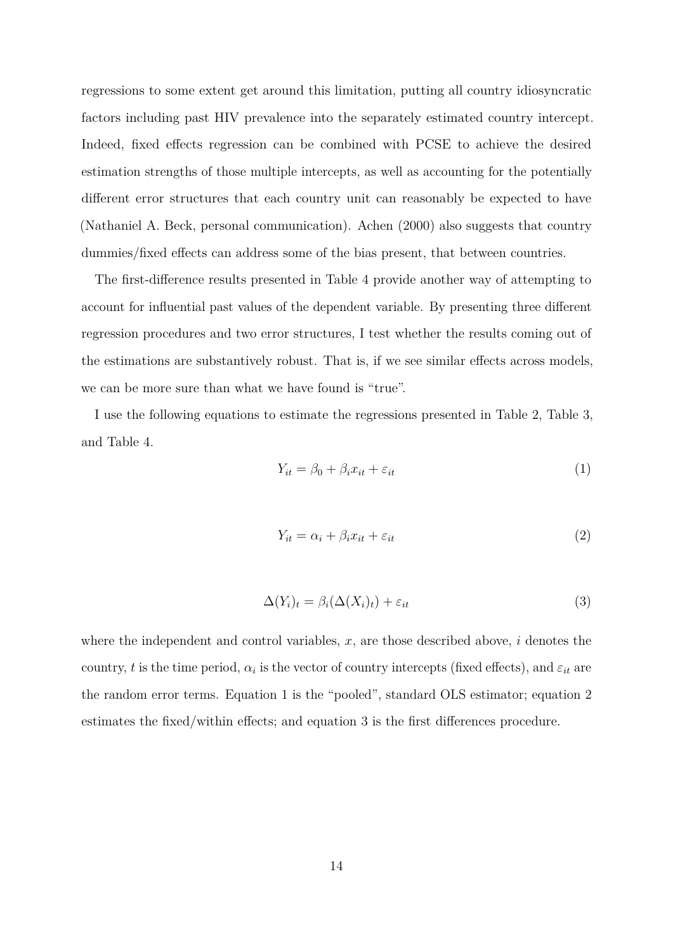regressions to some extent get around this limitation, putting all country idiosyncratic factors including past HIV prevalence into the separately estimated country intercept. Indeed, fixed effects regression can be combined with PCSE to achieve the desired estimation strengths of those multiple intercepts, as well as accounting for the potentially different error structures that each country unit can reasonably be expected to have (Nathaniel A. Beck, personal communication). [Achen](#page-19-2) [\(2000\)](#page-19-2) also suggests that country dummies/fixed effects can address some of the bias present, that between countries.

The first-difference results presented in Table [4](#page-30-0) provide another way of attempting to account for influential past values of the dependent variable. By presenting three different regression procedures and two error structures, I test whether the results coming out of the estimations are substantively robust. That is, if we see similar effects across models, we can be more sure than what we have found is "true".

I use the following equations to estimate the regressions presented in Table [2,](#page-28-0) Table [3,](#page-29-0) and Table [4.](#page-30-0)

<span id="page-13-0"></span>
$$
Y_{it} = \beta_0 + \beta_i x_{it} + \varepsilon_{it} \tag{1}
$$

<span id="page-13-1"></span>
$$
Y_{it} = \alpha_i + \beta_i x_{it} + \varepsilon_{it} \tag{2}
$$

<span id="page-13-2"></span>
$$
\Delta(Y_i)_t = \beta_i(\Delta(X_i)_t) + \varepsilon_{it} \tag{3}
$$

where the independent and control variables, *x*, are those described above, *i* denotes the country, *t* is the time period,  $\alpha_i$  is the vector of country intercepts (fixed effects), and  $\varepsilon_{it}$  are the random error terms. Equation [1](#page-13-0) is the "pooled", standard OLS estimator; equation [2](#page-13-1) estimates the fixed/within effects; and equation [3](#page-13-2) is the first differences procedure.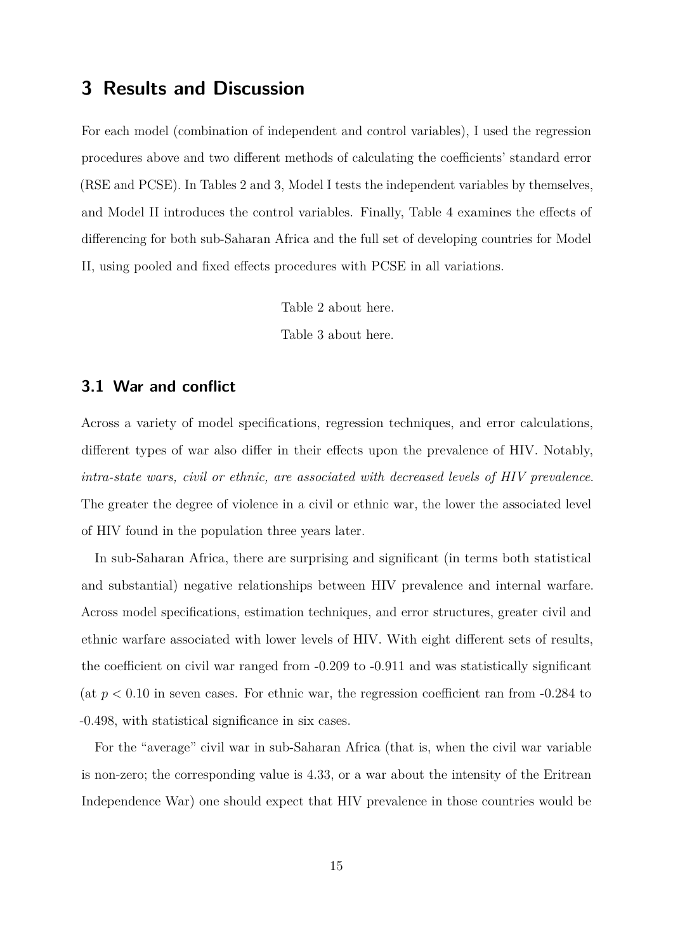# **3 Results and Discussion**

For each model (combination of independent and control variables), I used the regression procedures above and two different methods of calculating the coefficients' standard error (RSE and PCSE). In Tables [2](#page-28-0) and [3,](#page-29-0) Model I tests the independent variables by themselves, and Model II introduces the control variables. Finally, Table [4](#page-30-0) examines the effects of differencing for both sub-Saharan Africa and the full set of developing countries for Model II, using pooled and fixed effects procedures with PCSE in all variations.

Table [2](#page-28-0) about here.

Table [3](#page-29-0) about here.

### **3.1 War and conflict**

Across a variety of model specifications, regression techniques, and error calculations, different types of war also differ in their effects upon the prevalence of HIV. Notably, *intra-state wars, civil or ethnic, are associated with decreased levels of HIV prevalence*. The greater the degree of violence in a civil or ethnic war, the lower the associated level of HIV found in the population three years later.

In sub-Saharan Africa, there are surprising and significant (in terms both statistical and substantial) negative relationships between HIV prevalence and internal warfare. Across model specifications, estimation techniques, and error structures, greater civil and ethnic warfare associated with lower levels of HIV. With eight different sets of results, the coefficient on civil war ranged from -0.209 to -0.911 and was statistically significant (at  $p < 0.10$  in seven cases. For ethnic war, the regression coefficient ran from  $-0.284$  to -0.498, with statistical significance in six cases.

For the "average" civil war in sub-Saharan Africa (that is, when the civil war variable is non-zero; the corresponding value is 4.33, or a war about the intensity of the Eritrean Independence War) one should expect that HIV prevalence in those countries would be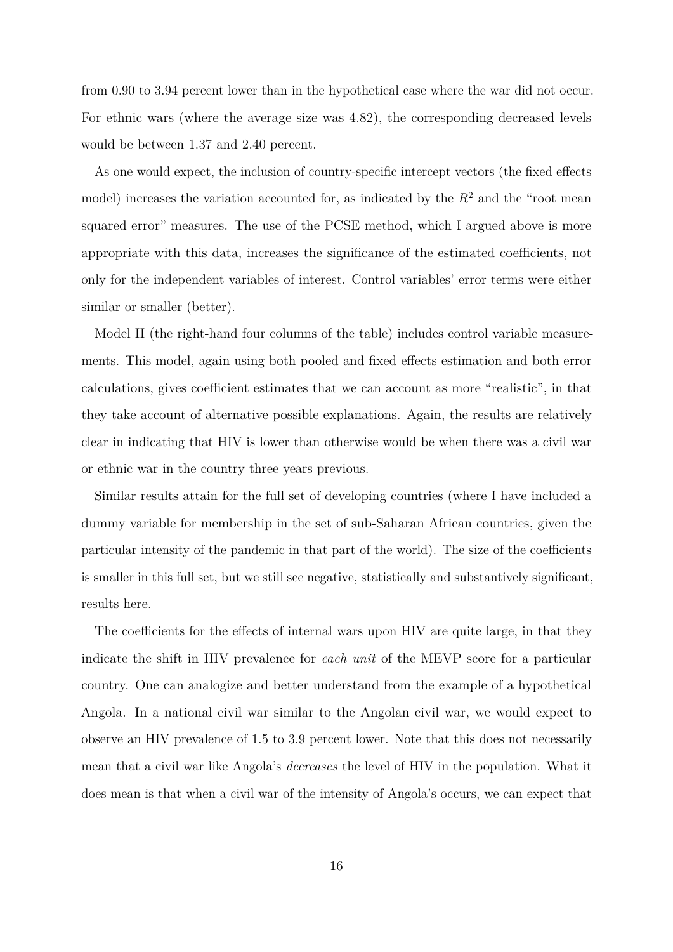from 0.90 to 3.94 percent lower than in the hypothetical case where the war did not occur. For ethnic wars (where the average size was 4.82), the corresponding decreased levels would be between 1.37 and 2.40 percent.

As one would expect, the inclusion of country-specific intercept vectors (the fixed effects model) increases the variation accounted for, as indicated by the  $R<sup>2</sup>$  and the "root mean squared error" measures. The use of the PCSE method, which I argued above is more appropriate with this data, increases the significance of the estimated coefficients, not only for the independent variables of interest. Control variables' error terms were either similar or smaller (better).

Model II (the right-hand four columns of the table) includes control variable measurements. This model, again using both pooled and fixed effects estimation and both error calculations, gives coefficient estimates that we can account as more "realistic", in that they take account of alternative possible explanations. Again, the results are relatively clear in indicating that HIV is lower than otherwise would be when there was a civil war or ethnic war in the country three years previous.

Similar results attain for the full set of developing countries (where I have included a dummy variable for membership in the set of sub-Saharan African countries, given the particular intensity of the pandemic in that part of the world). The size of the coefficients is smaller in this full set, but we still see negative, statistically and substantively significant, results here.

The coefficients for the effects of internal wars upon HIV are quite large, in that they indicate the shift in HIV prevalence for *each unit* of the MEVP score for a particular country. One can analogize and better understand from the example of a hypothetical Angola. In a national civil war similar to the Angolan civil war, we would expect to observe an HIV prevalence of 1.5 to 3.9 percent lower. Note that this does not necessarily mean that a civil war like Angola's *decreases* the level of HIV in the population. What it does mean is that when a civil war of the intensity of Angola's occurs, we can expect that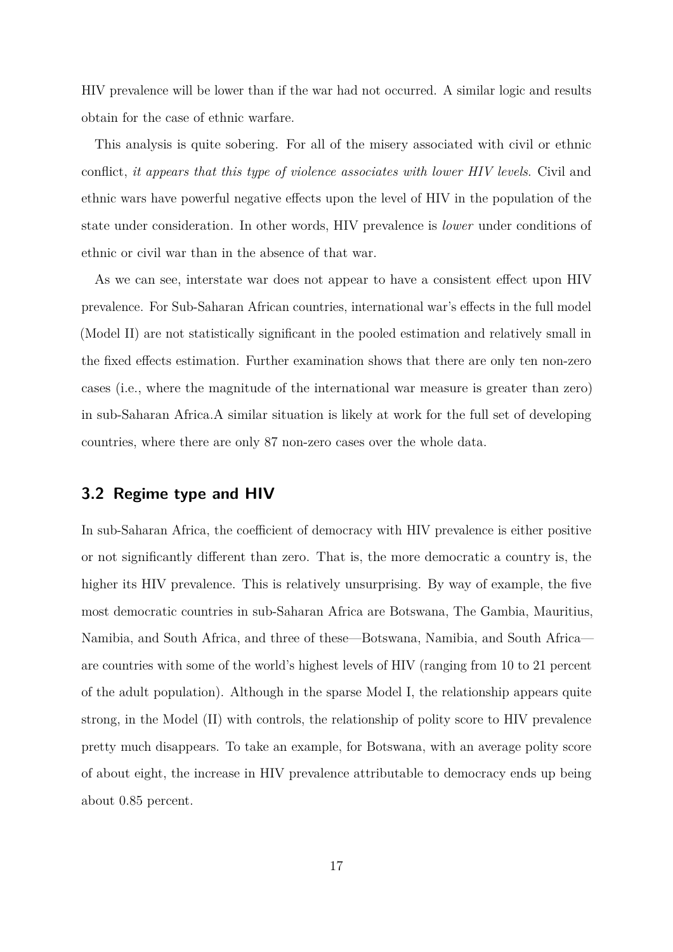HIV prevalence will be lower than if the war had not occurred. A similar logic and results obtain for the case of ethnic warfare.

This analysis is quite sobering. For all of the misery associated with civil or ethnic conflict, *it appears that this type of violence associates with lower HIV levels*. Civil and ethnic wars have powerful negative effects upon the level of HIV in the population of the state under consideration. In other words, HIV prevalence is *lower* under conditions of ethnic or civil war than in the absence of that war.

As we can see, interstate war does not appear to have a consistent effect upon HIV prevalence. For Sub-Saharan African countries, international war's effects in the full model (Model II) are not statistically significant in the pooled estimation and relatively small in the fixed effects estimation. Further examination shows that there are only ten non-zero cases (i.e., where the magnitude of the international war measure is greater than zero) in sub-Saharan Africa.A similar situation is likely at work for the full set of developing countries, where there are only 87 non-zero cases over the whole data.

### **3.2 Regime type and HIV**

In sub-Saharan Africa, the coefficient of democracy with HIV prevalence is either positive or not significantly different than zero. That is, the more democratic a country is, the higher its HIV prevalence. This is relatively unsurprising. By way of example, the five most democratic countries in sub-Saharan Africa are Botswana, The Gambia, Mauritius, Namibia, and South Africa, and three of these—Botswana, Namibia, and South Africa are countries with some of the world's highest levels of HIV (ranging from 10 to 21 percent of the adult population). Although in the sparse Model I, the relationship appears quite strong, in the Model (II) with controls, the relationship of polity score to HIV prevalence pretty much disappears. To take an example, for Botswana, with an average polity score of about eight, the increase in HIV prevalence attributable to democracy ends up being about 0.85 percent.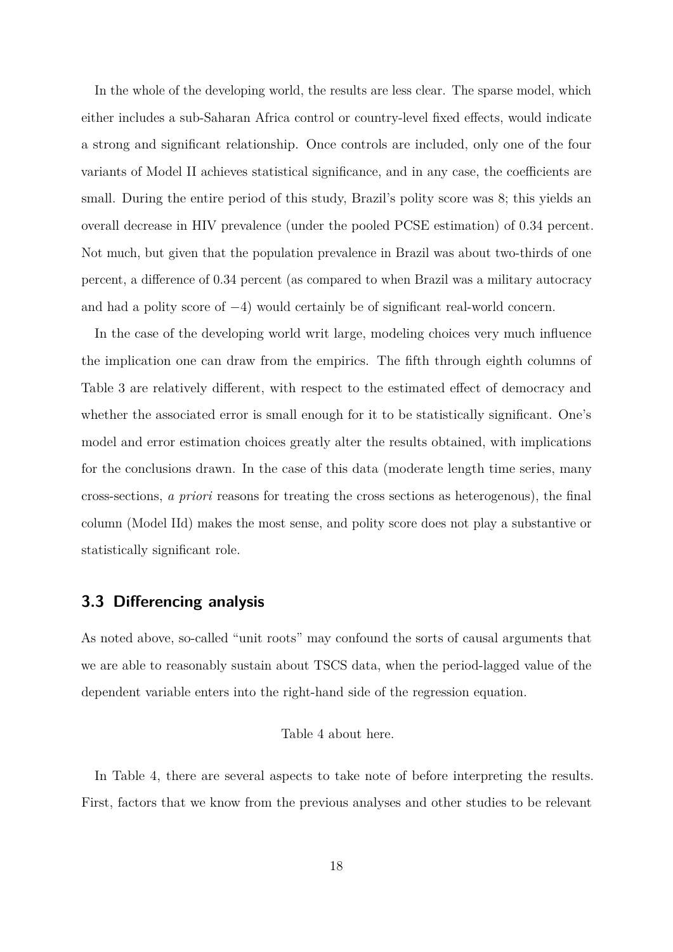In the whole of the developing world, the results are less clear. The sparse model, which either includes a sub-Saharan Africa control or country-level fixed effects, would indicate a strong and significant relationship. Once controls are included, only one of the four variants of Model II achieves statistical significance, and in any case, the coefficients are small. During the entire period of this study, Brazil's polity score was 8; this yields an overall decrease in HIV prevalence (under the pooled PCSE estimation) of 0.34 percent. Not much, but given that the population prevalence in Brazil was about two-thirds of one percent, a difference of 0.34 percent (as compared to when Brazil was a military autocracy and had a polity score of −4) would certainly be of significant real-world concern.

In the case of the developing world writ large, modeling choices very much influence the implication one can draw from the empirics. The fifth through eighth columns of Table [3](#page-29-0) are relatively different, with respect to the estimated effect of democracy and whether the associated error is small enough for it to be statistically significant. One's model and error estimation choices greatly alter the results obtained, with implications for the conclusions drawn. In the case of this data (moderate length time series, many cross-sections, *a priori* reasons for treating the cross sections as heterogenous), the final column (Model IId) makes the most sense, and polity score does not play a substantive or statistically significant role.

### **3.3 Differencing analysis**

As noted above, so-called "unit roots" may confound the sorts of causal arguments that we are able to reasonably sustain about TSCS data, when the period-lagged value of the dependent variable enters into the right-hand side of the regression equation.

#### Table [4](#page-30-0) about here.

In Table [4,](#page-30-0) there are several aspects to take note of before interpreting the results. First, factors that we know from the previous analyses and other studies to be relevant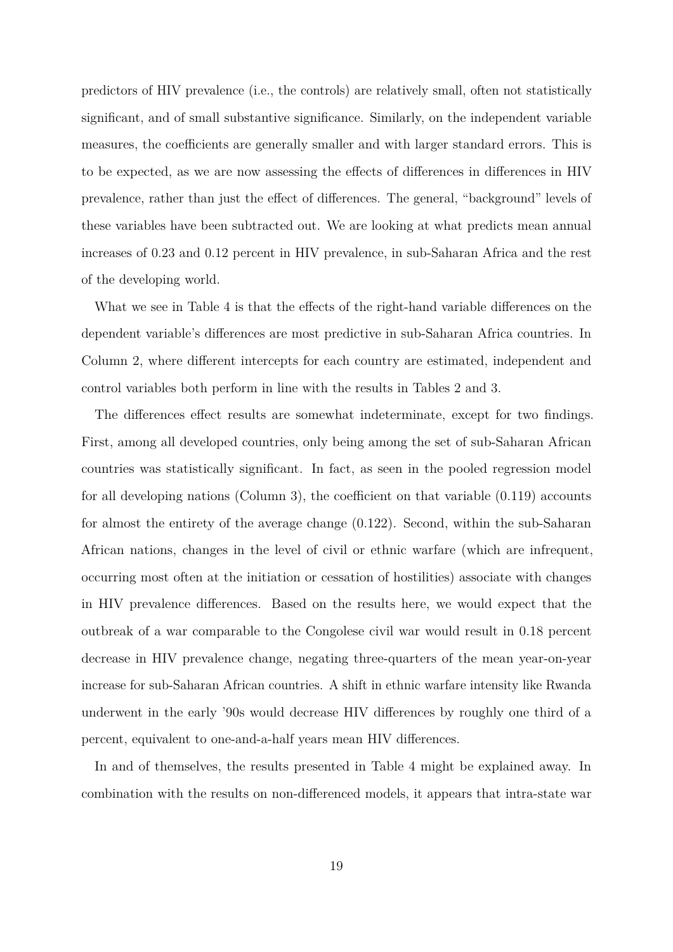predictors of HIV prevalence (i.e., the controls) are relatively small, often not statistically significant, and of small substantive significance. Similarly, on the independent variable measures, the coefficients are generally smaller and with larger standard errors. This is to be expected, as we are now assessing the effects of differences in differences in HIV prevalence, rather than just the effect of differences. The general, "background" levels of these variables have been subtracted out. We are looking at what predicts mean annual increases of 0.23 and 0.12 percent in HIV prevalence, in sub-Saharan Africa and the rest of the developing world.

What we see in Table [4](#page-30-0) is that the effects of the right-hand variable differences on the dependent variable's differences are most predictive in sub-Saharan Africa countries. In Column 2, where different intercepts for each country are estimated, independent and control variables both perform in line with the results in Tables [2](#page-28-0) and [3.](#page-29-0)

The differences effect results are somewhat indeterminate, except for two findings. First, among all developed countries, only being among the set of sub-Saharan African countries was statistically significant. In fact, as seen in the pooled regression model for all developing nations (Column 3), the coefficient on that variable (0.119) accounts for almost the entirety of the average change (0.122). Second, within the sub-Saharan African nations, changes in the level of civil or ethnic warfare (which are infrequent, occurring most often at the initiation or cessation of hostilities) associate with changes in HIV prevalence differences. Based on the results here, we would expect that the outbreak of a war comparable to the Congolese civil war would result in 0.18 percent decrease in HIV prevalence change, negating three-quarters of the mean year-on-year increase for sub-Saharan African countries. A shift in ethnic warfare intensity like Rwanda underwent in the early '90s would decrease HIV differences by roughly one third of a percent, equivalent to one-and-a-half years mean HIV differences.

In and of themselves, the results presented in Table [4](#page-30-0) might be explained away. In combination with the results on non-differenced models, it appears that intra-state war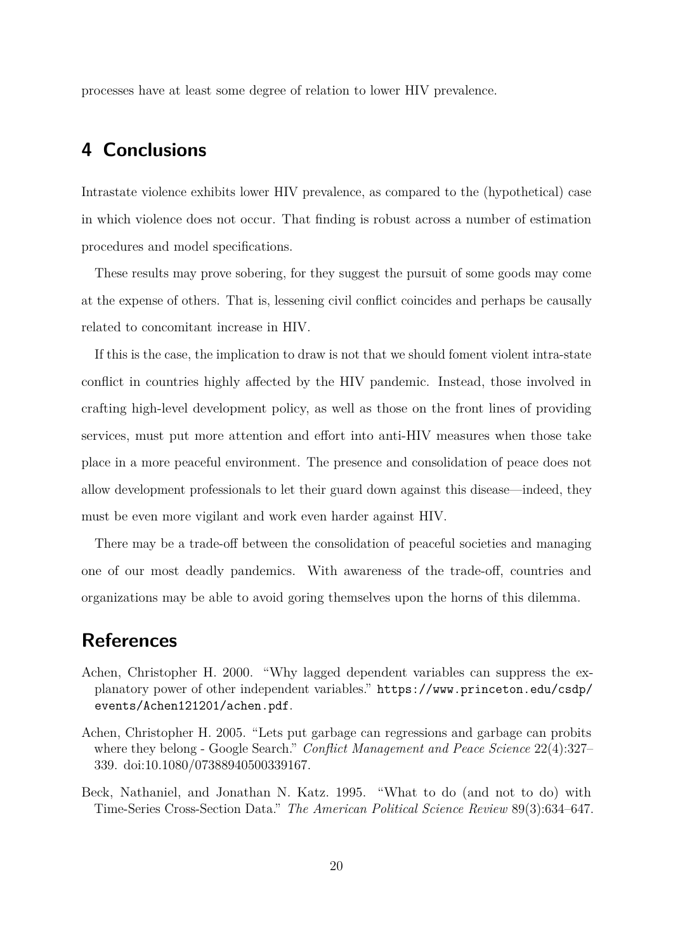processes have at least some degree of relation to lower HIV prevalence.

# **4 Conclusions**

Intrastate violence exhibits lower HIV prevalence, as compared to the (hypothetical) case in which violence does not occur. That finding is robust across a number of estimation procedures and model specifications.

These results may prove sobering, for they suggest the pursuit of some goods may come at the expense of others. That is, lessening civil conflict coincides and perhaps be causally related to concomitant increase in HIV.

If this is the case, the implication to draw is not that we should foment violent intra-state conflict in countries highly affected by the HIV pandemic. Instead, those involved in crafting high-level development policy, as well as those on the front lines of providing services, must put more attention and effort into anti-HIV measures when those take place in a more peaceful environment. The presence and consolidation of peace does not allow development professionals to let their guard down against this disease—indeed, they must be even more vigilant and work even harder against HIV.

There may be a trade-off between the consolidation of peaceful societies and managing one of our most deadly pandemics. With awareness of the trade-off, countries and organizations may be able to avoid goring themselves upon the horns of this dilemma.

# **References**

- <span id="page-19-2"></span>Achen, Christopher H. 2000. "Why lagged dependent variables can suppress the explanatory power of other independent variables." [https://www.princeton.edu/csdp/](https://www.princeton.edu/csdp/events/Achen121201/achen.pdf) [events/Achen121201/achen.pdf](https://www.princeton.edu/csdp/events/Achen121201/achen.pdf).
- <span id="page-19-0"></span>Achen, Christopher H. 2005. "Lets put garbage can regressions and garbage can probits where they belong - Google Search." *Conflict Management and Peace Science* 22(4):327– 339. [doi:10.1080/07388940500339167.](http://dx.doi.org/10.1080/07388940500339167)
- <span id="page-19-1"></span>Beck, Nathaniel, and Jonathan N. Katz. 1995. "What to do (and not to do) with Time-Series Cross-Section Data." *The American Political Science Review* 89(3):634–647.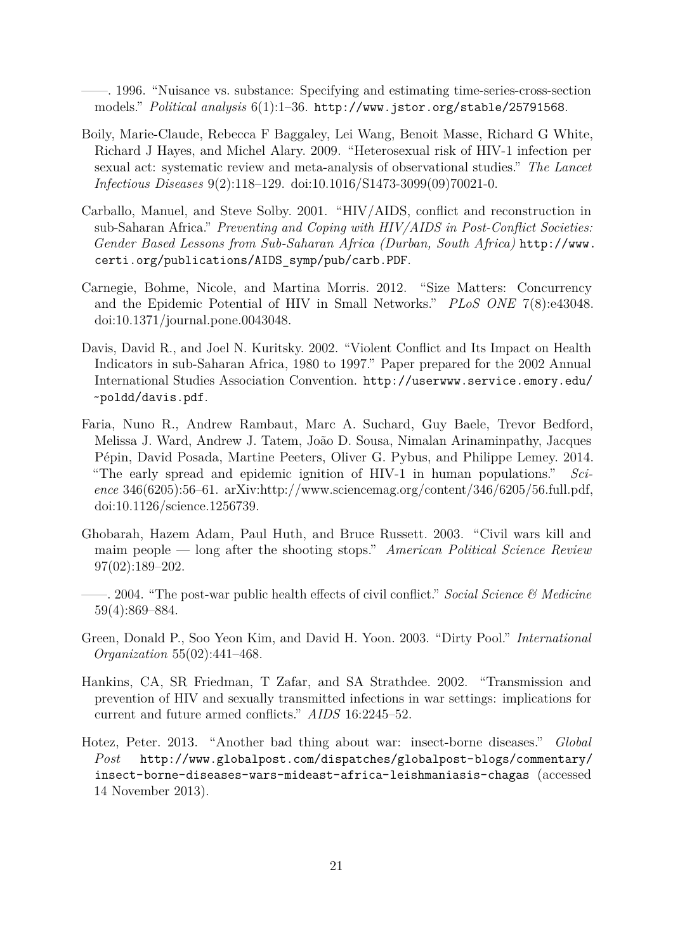<span id="page-20-10"></span>——. 1996. "Nuisance vs. substance: Specifying and estimating time-series-cross-section models." *Political analysis* 6(1):1–36. <http://www.jstor.org/stable/25791568>.

- <span id="page-20-1"></span>Boily, Marie-Claude, Rebecca F Baggaley, Lei Wang, Benoit Masse, Richard G White, Richard J Hayes, and Michel Alary. 2009. "Heterosexual risk of HIV-1 infection per sexual act: systematic review and meta-analysis of observational studies." *The Lancet Infectious Diseases* 9(2):118–129. [doi:10.1016/S1473-3099\(09\)70021-0.](http://dx.doi.org/10.1016/S1473-3099(09)70021-0)
- <span id="page-20-7"></span>Carballo, Manuel, and Steve Solby. 2001. "HIV/AIDS, conflict and reconstruction in sub-Saharan Africa." *Preventing and Coping with HIV/AIDS in Post-Conflict Societies: Gender Based Lessons from Sub-Saharan Africa (Durban, South Africa)* [http://www.](http://www.certi.org/publications/AIDS_symp/pub/carb.PDF) [certi.org/publications/AIDS\\_symp/pub/carb.PDF](http://www.certi.org/publications/AIDS_symp/pub/carb.PDF).
- <span id="page-20-3"></span>Carnegie, Bohme, Nicole, and Martina Morris. 2012. "Size Matters: Concurrency and the Epidemic Potential of HIV in Small Networks." *PLoS ONE* 7(8):e43048. [doi:10.1371/journal.pone.0043048.](http://dx.doi.org/10.1371/journal.pone.0043048)
- <span id="page-20-8"></span>Davis, David R., and Joel N. Kuritsky. 2002. "Violent Conflict and Its Impact on Health Indicators in sub-Saharan Africa, 1980 to 1997." Paper prepared for the 2002 Annual International Studies Association Convention. [http://userwww.service.emory.edu/](http://userwww.service.emory.edu/~poldd/davis.pdf) [~poldd/davis.pdf](http://userwww.service.emory.edu/~poldd/davis.pdf).
- <span id="page-20-2"></span>Faria, Nuno R., Andrew Rambaut, Marc A. Suchard, Guy Baele, Trevor Bedford, Melissa J. Ward, Andrew J. Tatem, João D. Sousa, Nimalan Arinaminpathy, Jacques Pépin, David Posada, Martine Peeters, Oliver G. Pybus, and Philippe Lemey. 2014. "The early spread and epidemic ignition of HIV-1 in human populations." *Science* 346(6205):56–61. [arXiv:http://www.sciencemag.org/content/346/6205/56.full.pdf,](http://arxiv.org/abs/http://www.sciencemag.org/content/346/6205/56.full.pdf) [doi:10.1126/science.1256739.](http://dx.doi.org/10.1126/science.1256739)
- <span id="page-20-5"></span>Ghobarah, Hazem Adam, Paul Huth, and Bruce Russett. 2003. "Civil wars kill and maim people — long after the shooting stops." *American Political Science Review* 97(02):189–202.
- <span id="page-20-4"></span>——. 2004. "The post-war public health effects of civil conflict." *Social Science & Medicine* 59(4):869–884.
- <span id="page-20-9"></span>Green, Donald P., Soo Yeon Kim, and David H. Yoon. 2003. "Dirty Pool." *International Organization* 55(02):441–468.
- <span id="page-20-6"></span>Hankins, CA, SR Friedman, T Zafar, and SA Strathdee. 2002. "Transmission and prevention of HIV and sexually transmitted infections in war settings: implications for current and future armed conflicts." *AIDS* 16:2245–52.
- <span id="page-20-0"></span>Hotez, Peter. 2013. "Another bad thing about war: insect-borne diseases." *Global Post* [http://www.globalpost.com/dispatches/globalpost-blogs/commentary/](http://www.globalpost.com/dispatches/globalpost-blogs/commentary/insect-borne-diseases-wars-mideast-africa-leishmaniasis-chagas) [insect-borne-diseases-wars-mideast-africa-leishmaniasis-chagas](http://www.globalpost.com/dispatches/globalpost-blogs/commentary/insect-borne-diseases-wars-mideast-africa-leishmaniasis-chagas) (accessed 14 November 2013).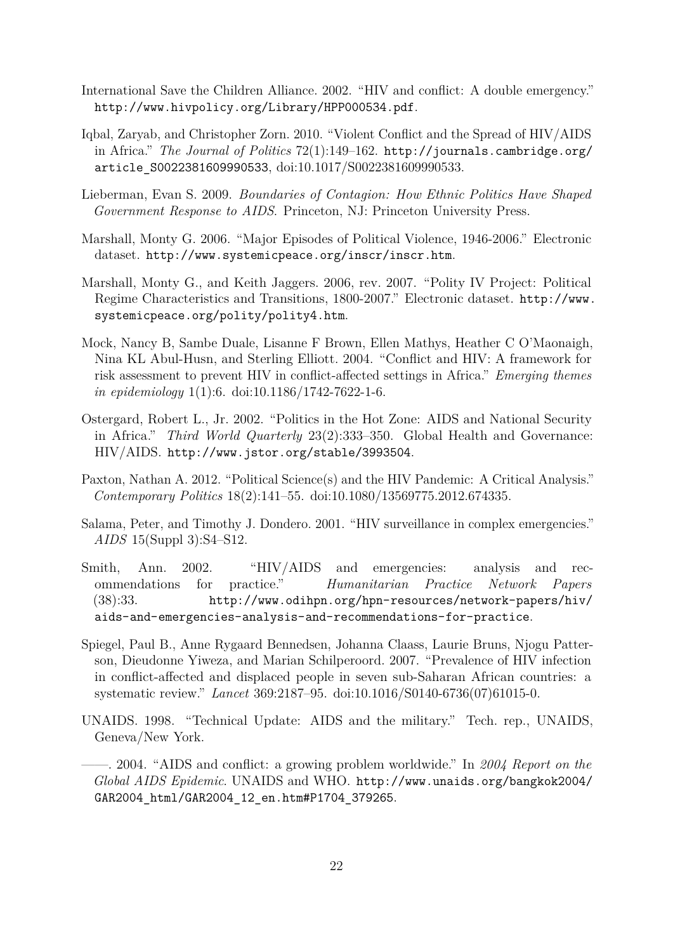- <span id="page-21-5"></span>International Save the Children Alliance. 2002. "HIV and conflict: A double emergency." <http://www.hivpolicy.org/Library/HPP000534.pdf>.
- <span id="page-21-8"></span>Iqbal, Zaryab, and Christopher Zorn. 2010. "Violent Conflict and the Spread of HIV/AIDS in Africa." *The Journal of Politics* 72(1):149–162. [http://journals.cambridge.org/](http://journals.cambridge.org/article_S0022381609990533) [article\\_S0022381609990533](http://journals.cambridge.org/article_S0022381609990533), [doi:10.1017/S0022381609990533.](http://dx.doi.org/10.1017/S0022381609990533)
- <span id="page-21-10"></span>Lieberman, Evan S. 2009. *Boundaries of Contagion: How Ethnic Politics Have Shaped Government Response to AIDS*. Princeton, NJ: Princeton University Press.
- <span id="page-21-11"></span>Marshall, Monty G. 2006. "Major Episodes of Political Violence, 1946-2006." Electronic dataset. <http://www.systemicpeace.org/inscr/inscr.htm>.
- <span id="page-21-12"></span>Marshall, Monty G., and Keith Jaggers. 2006, rev. 2007. "Polity IV Project: Political Regime Characteristics and Transitions, 1800-2007." Electronic dataset. [http://www.](http://www.systemicpeace.org/polity/polity4.htm) [systemicpeace.org/polity/polity4.htm](http://www.systemicpeace.org/polity/polity4.htm).
- <span id="page-21-9"></span>Mock, Nancy B, Sambe Duale, Lisanne F Brown, Ellen Mathys, Heather C O'Maonaigh, Nina KL Abul-Husn, and Sterling Elliott. 2004. "Conflict and HIV: A framework for risk assessment to prevent HIV in conflict-affected settings in Africa." *Emerging themes in epidemiology* 1(1):6. [doi:10.1186/1742-7622-1-6.](http://dx.doi.org/10.1186/1742-7622-1-6)
- <span id="page-21-2"></span>Ostergard, Robert L., Jr. 2002. "Politics in the Hot Zone: AIDS and National Security in Africa." *Third World Quarterly* 23(2):333–350. Global Health and Governance: HIV/AIDS. <http://www.jstor.org/stable/3993504>.
- <span id="page-21-0"></span>Paxton, Nathan A. 2012. "Political Science(s) and the HIV Pandemic: A Critical Analysis." *Contemporary Politics* 18(2):141–55. [doi:10.1080/13569775.2012.674335.](http://dx.doi.org/10.1080/13569775.2012.674335)
- <span id="page-21-4"></span>Salama, Peter, and Timothy J. Dondero. 2001. "HIV surveillance in complex emergencies." *AIDS* 15(Suppl 3):S4–S12.
- <span id="page-21-6"></span>Smith, Ann. 2002. "HIV/AIDS and emergencies: analysis and recommendations for practice." *Humanitarian Practice Network Papers* (38):33. [http://www.odihpn.org/hpn-resources/network-papers/hiv/](http://www.odihpn.org/hpn-resources/network-papers/hiv/aids-and-emergencies-analysis-and-recommendations-for-practice) [aids-and-emergencies-analysis-and-recommendations-for-practice](http://www.odihpn.org/hpn-resources/network-papers/hiv/aids-and-emergencies-analysis-and-recommendations-for-practice).
- <span id="page-21-7"></span>Spiegel, Paul B., Anne Rygaard Bennedsen, Johanna Claass, Laurie Bruns, Njogu Patterson, Dieudonne Yiweza, and Marian Schilperoord. 2007. "Prevalence of HIV infection in conflict-affected and displaced people in seven sub-Saharan African countries: a systematic review." *Lancet* 369:2187–95. [doi:10.1016/S0140-6736\(07\)61015-0.](http://dx.doi.org/10.1016/S0140-6736(07)61015-0)
- <span id="page-21-1"></span>UNAIDS. 1998. "Technical Update: AIDS and the military." Tech. rep., UNAIDS, Geneva/New York.
- <span id="page-21-3"></span>——. 2004. "AIDS and conflict: a growing problem worldwide." In *2004 Report on the Global AIDS Epidemic*. UNAIDS and WHO. [http://www.unaids.org/bangkok2004/](http://www.unaids.org/bangkok2004/GAR2004_html/GAR2004_12_en.htm#P1704_379265) [GAR2004\\_html/GAR2004\\_12\\_en.htm#P1704\\_379265](http://www.unaids.org/bangkok2004/GAR2004_html/GAR2004_12_en.htm#P1704_379265).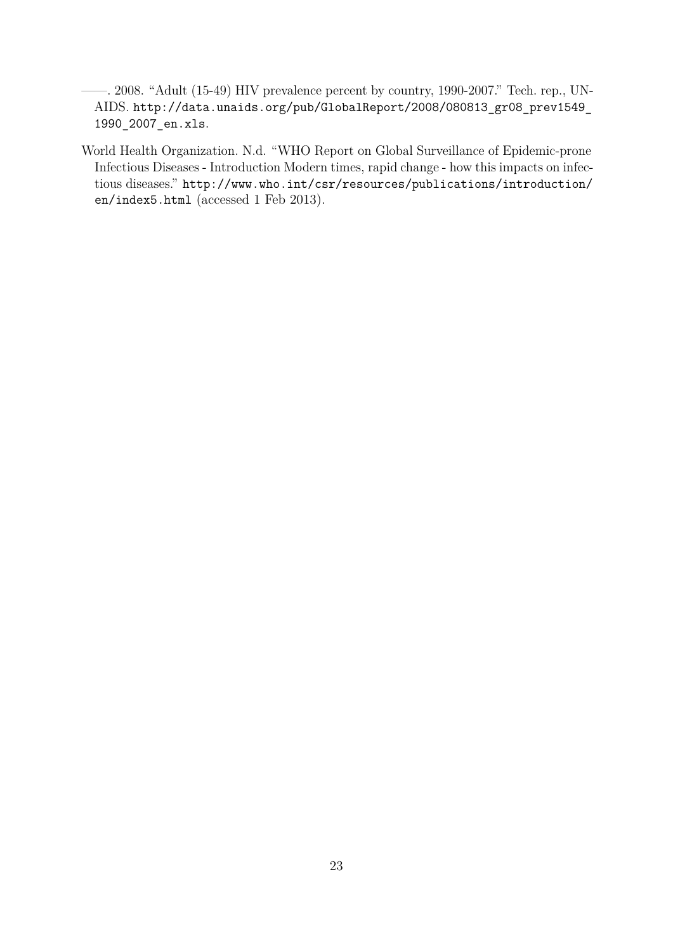- <span id="page-22-1"></span>——. 2008. "Adult (15-49) HIV prevalence percent by country, 1990-2007." Tech. rep., UN-AIDS. [http://data.unaids.org/pub/GlobalReport/2008/080813\\_gr08\\_prev1549\\_](http://data.unaids.org/pub/GlobalReport/2008/080813_gr08_prev1549_1990_2007_en.xls) [1990\\_2007\\_en.xls](http://data.unaids.org/pub/GlobalReport/2008/080813_gr08_prev1549_1990_2007_en.xls).
- <span id="page-22-0"></span>World Health Organization. N.d. "WHO Report on Global Surveillance of Epidemic-prone Infectious Diseases - Introduction Modern times, rapid change - how this impacts on infectious diseases." [http://www.who.int/csr/resources/publications/introduction/](http://www.who.int/csr/resources/publications/introduction/en/index5.html) [en/index5.html](http://www.who.int/csr/resources/publications/introduction/en/index5.html) (accessed 1 Feb 2013).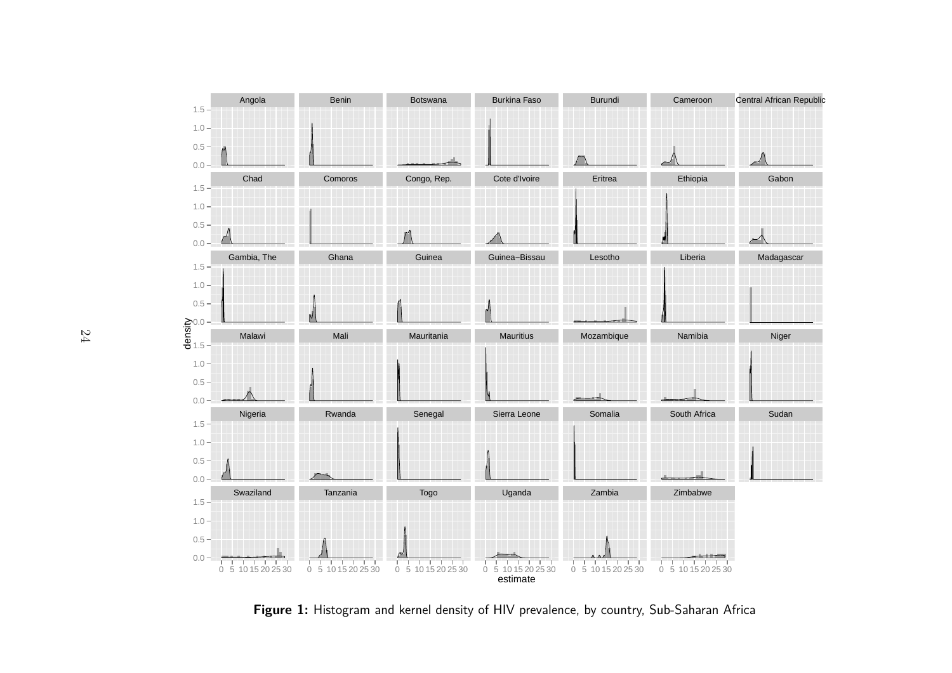

<span id="page-23-0"></span>**Figure 1:** Histogram and kernel density of HIV prevalence, by country, Sub-Saharan Africa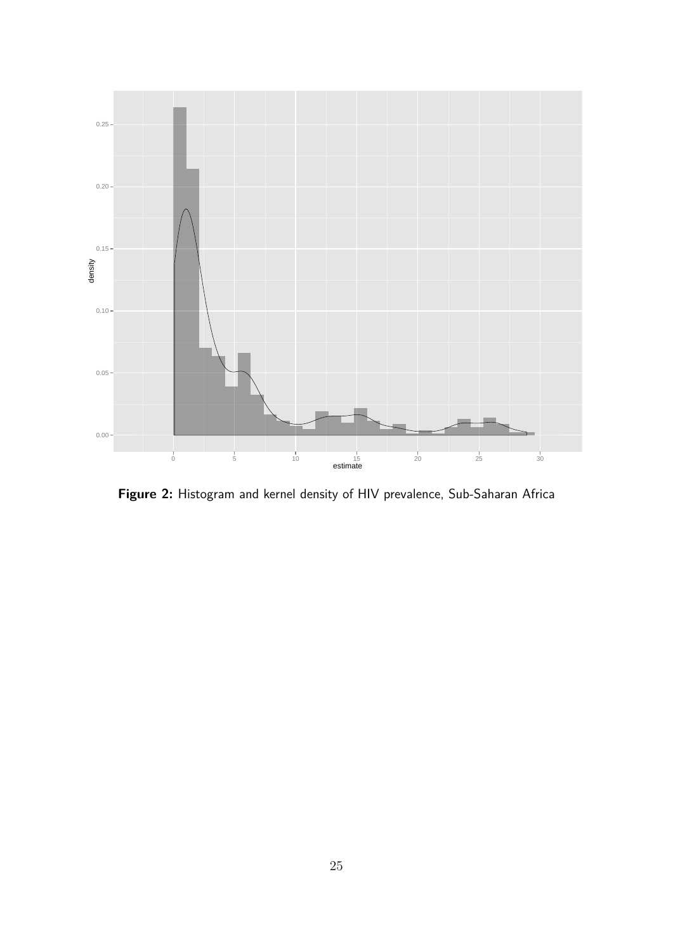<span id="page-24-0"></span>

**Figure 2:** Histogram and kernel density of HIV prevalence, Sub-Saharan Africa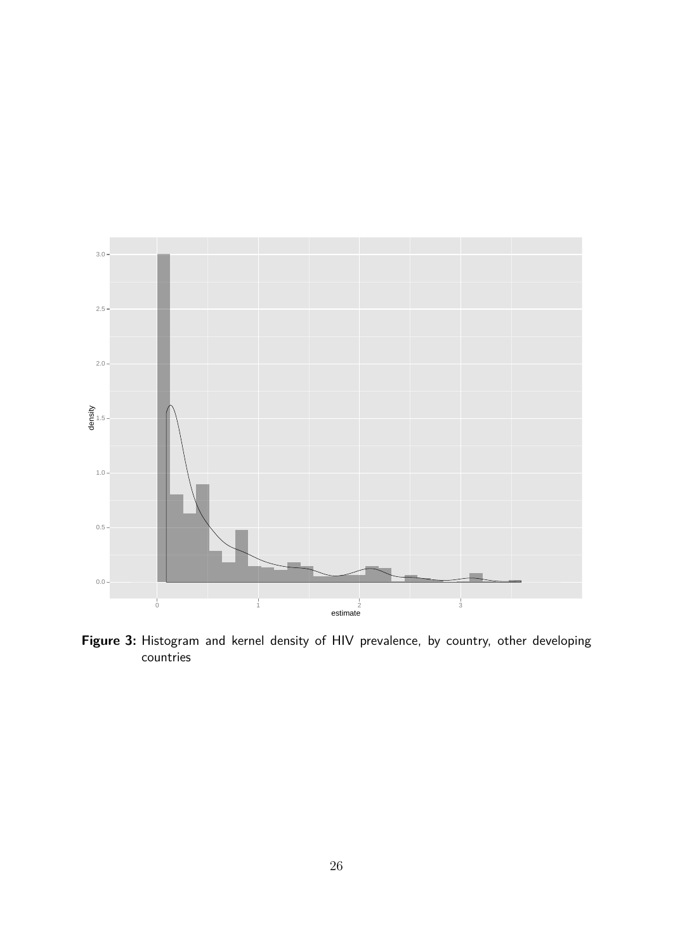<span id="page-25-0"></span>

Figure 3: Histogram and kernel density of HIV prevalence, by country, other developing countries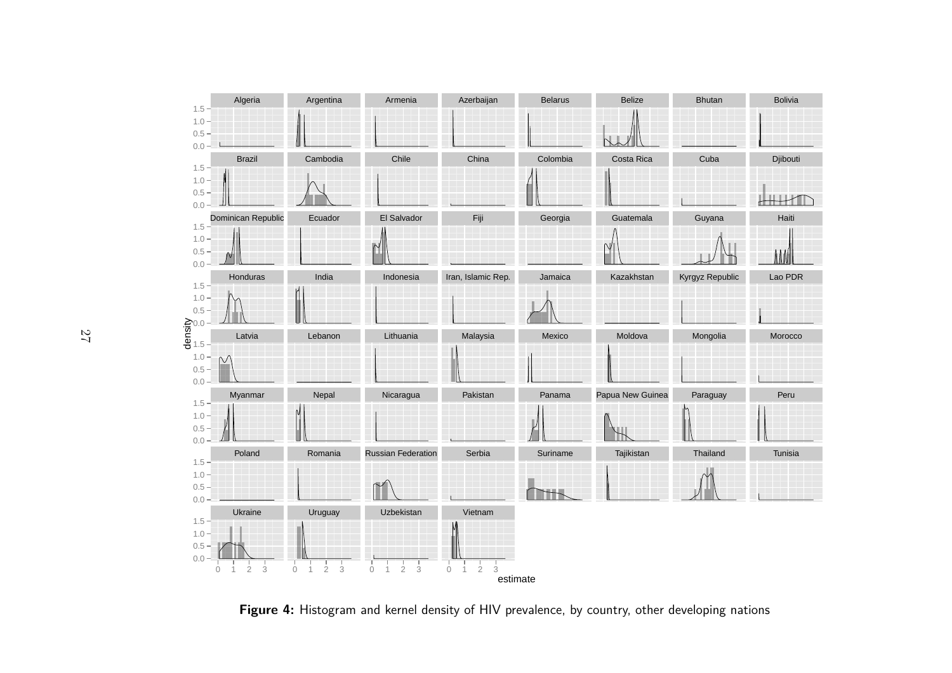<span id="page-26-0"></span>

**Figure 4:** Histogram and kernel density of HIV prevalence, by country, other developing nations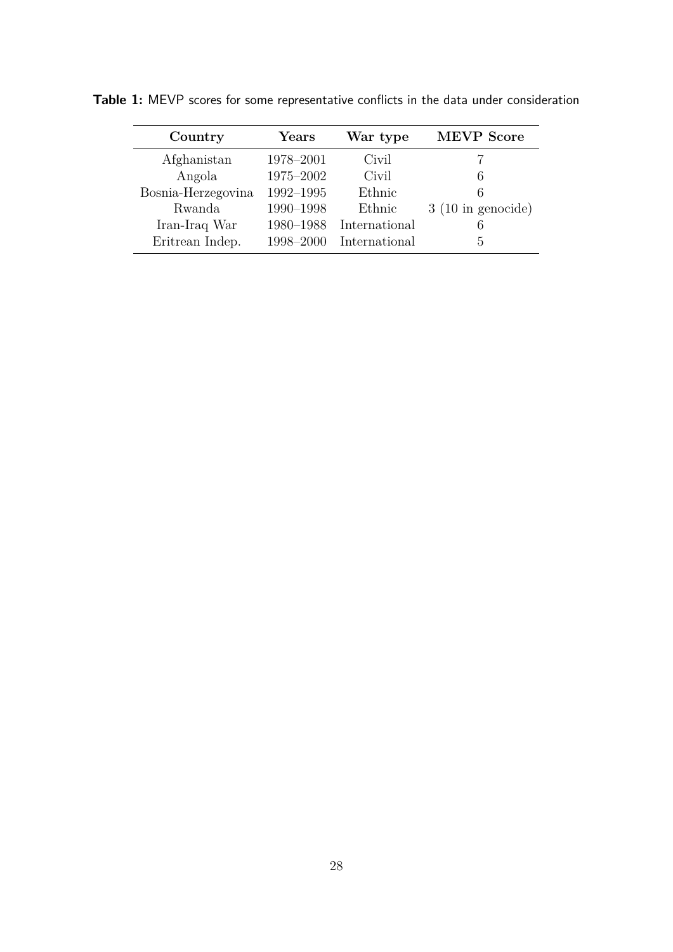| Country            | Years     | War type      | <b>MEVP</b> Score           |
|--------------------|-----------|---------------|-----------------------------|
| Afghanistan        | 1978-2001 | Civil         |                             |
| Angola             | 1975-2002 | Civil         | 6                           |
| Bosnia-Herzegovina | 1992-1995 | Ethnic        | 6                           |
| Rwanda             | 1990-1998 | Ethnic        | $3(10 \text{ in genocide})$ |
| Iran-Iraq War      | 1980-1988 | International | 6                           |
| Eritrean Indep.    | 1998-2000 | International | h,                          |

<span id="page-27-0"></span>**Table 1:** MEVP scores for some representative conflicts in the data under consideration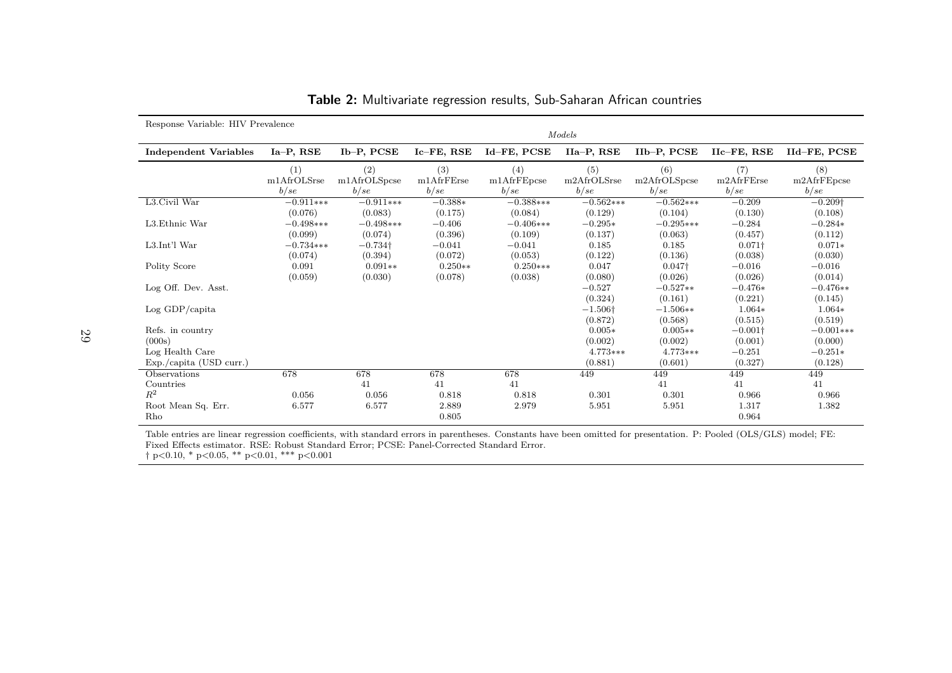| Response Variable: HIV Prevalence |                             |                              |                            |                                    |                             |                              |                            |                                    |
|-----------------------------------|-----------------------------|------------------------------|----------------------------|------------------------------------|-----------------------------|------------------------------|----------------------------|------------------------------------|
|                                   |                             | Models                       |                            |                                    |                             |                              |                            |                                    |
| <b>Independent Variables</b>      | Ia-P, RSE                   | Ib-P, PCSE                   | Ic-FE, RSE                 | Id-FE, PCSE                        | IIa-P, RSE                  | IIb-P, PCSE                  | $IIc$ – $FE$ , RSE         | IId-FE, PCSE                       |
|                                   | (1)<br>m1AfrOLSrse<br>b/sec | (2)<br>m1AfrOLSpcse<br>b/sec | (3)<br>m1AfrFErse<br>b/sec | (4)<br>$m1A$ fr $FE$ pcse<br>b/sec | (5)<br>m2AfrOLSrse<br>b/sec | (6)<br>m2AfrOLSpcse<br>b/sec | (7)<br>m2AfrFErse<br>b/sec | (8)<br>$m2A$ fr $FE$ pcse<br>b/sec |
| L3.Civil War                      | $-0.911***$                 | $-0.911***$                  | $-0.388*$                  | $-0.388***$                        | $-0.562***$                 | $-0.562***$                  | $-0.209$                   | $-0.209\dagger$                    |
|                                   | (0.076)                     | (0.083)                      | (0.175)                    | (0.084)                            | (0.129)                     | (0.104)                      | (0.130)                    | (0.108)                            |
| L3. Ethnic War                    | $-0.498***$                 | $-0.498***$                  | $-0.406$                   | $-0.406***$                        | $-0.295*$                   | $-0.295***$                  | $-0.284$                   | $-0.284*$                          |
|                                   | (0.099)                     | (0.074)                      | (0.396)                    | (0.109)                            | (0.137)                     | (0.063)                      | (0.457)                    | (0.112)                            |
| L3.Int'l War                      | $-0.734***$                 | $-0.734\dagger$              | $-0.041$                   | $-0.041$                           | 0.185                       | 0.185                        | $0.071\dagger$             | $0.071*$                           |
|                                   | (0.074)                     | (0.394)                      | (0.072)                    | (0.053)                            | (0.122)                     | (0.136)                      | (0.038)                    | (0.030)                            |
| Polity Score                      | 0.091                       | $0.091**$                    | $0.250**$                  | $0.250***$                         | 0.047                       | $0.047\dagger$               | $-0.016$                   | $-0.016$                           |
|                                   | (0.059)                     | (0.030)                      | (0.078)                    | (0.038)                            | (0.080)                     | (0.026)                      | (0.026)                    | (0.014)                            |
| Log Off. Dev. Asst.               |                             |                              |                            |                                    | $-0.527$                    | $-0.527**$                   | $-0.476*$                  | $-0.476**$                         |
|                                   |                             |                              |                            |                                    | (0.324)                     | (0.161)                      | (0.221)                    | (0.145)                            |
| Log GDP/capita                    |                             |                              |                            |                                    | $-1.506\dagger$             | $-1.506**$                   | $1.064*$                   | $1.064*$                           |
|                                   |                             |                              |                            |                                    | (0.872)                     | (0.568)                      | (0.515)                    | (0.519)                            |
| Refs. in country                  |                             |                              |                            |                                    | $0.005*$                    | $0.005**$                    | $-0.001\dagger$            | $-0.001***$                        |
| (000s)                            |                             |                              |                            |                                    | (0.002)                     | (0.002)                      | (0.001)                    | (0.000)                            |
| Log Health Care                   |                             |                              |                            |                                    | 4.773***                    | 4.773***                     | $-0.251$                   | $-0.251*$                          |
| $Exp./capita$ (USD curr.)         |                             |                              |                            |                                    | (0.881)                     | (0.601)                      | (0.327)                    | (0.128)                            |
| Observations                      | 678                         | 678                          | 678                        | 678                                | 449                         | 449                          | 449                        | 449                                |
| Countries                         |                             | 41                           | 41                         | 41                                 |                             | 41                           | 41                         | 41                                 |
| $R^2$                             | 0.056                       | 0.056                        | 0.818                      | 0.818                              | 0.301                       | 0.301                        | 0.966                      | 0.966                              |
| Root Mean Sq. Err.                | 6.577                       | 6.577                        | 2.889                      | 2.979                              | 5.951                       | 5.951                        | 1.317                      | 1.382                              |
| Rho                               |                             |                              | 0.805                      |                                    |                             |                              | 0.964                      |                                    |

**Table 2:** Multivariate regression results, Sub-Saharan African countries

Table entries are linear regression coefficients, with standard errors in parentheses. Constants have been omitted for presentation. P: Pooled (OLS/GLS) model; FE:Fixed Effects estimator. RSE: Robust Standard Error; PCSE: Panel-Corrected Standard Error. † p<0.10, \* p<0.05, \*\* p<0.01, \*\*\* p<0.001

<span id="page-28-0"></span>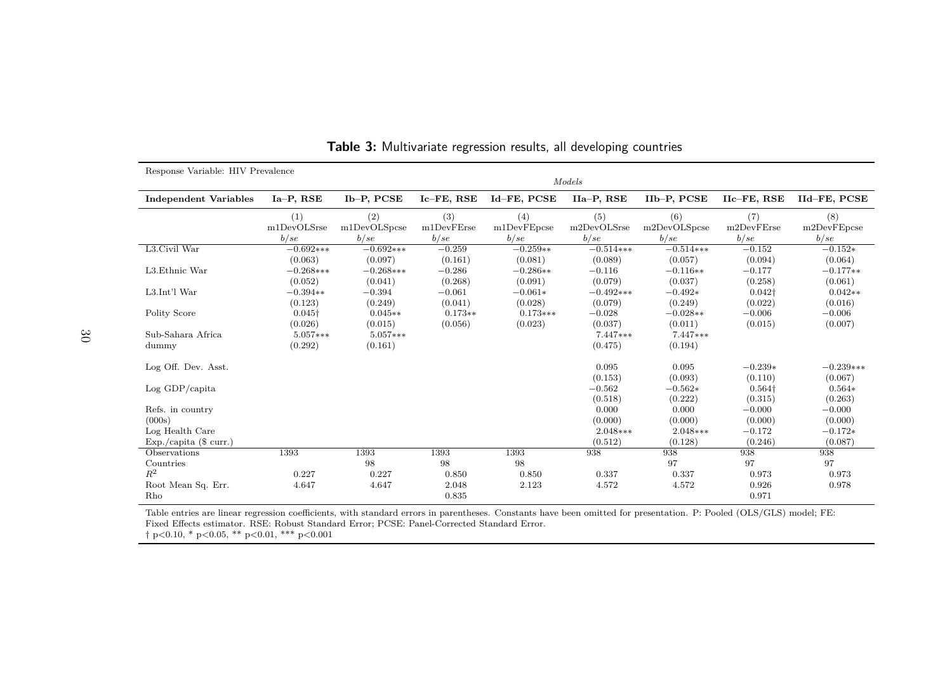| Response Variable: HIV Prevalence |                |              |            |             |             |              |                    |                    |
|-----------------------------------|----------------|--------------|------------|-------------|-------------|--------------|--------------------|--------------------|
|                                   |                | Models       |            |             |             |              |                    |                    |
| <b>Independent Variables</b>      | Ia-P, RSE      | Ib-P, PCSE   | Ic-FE, RSE | Id-FE, PCSE | IIa-P, RSE  | IIb-P, PCSE  | $Ilc$ – $FE$ , RSE | IId-FE, PCSE       |
|                                   | (1)            | (2)          | (3)        | (4)         | (5)         | (6)          | (7)                | (8)                |
|                                   | m1DevOLSrse    | m1DevOLSpcse | m1DevFErse | m1DevFEpcse | m2DevOLSrse | m2DevOLSpcse | m2DevFErse         | $m2$ Dev $FE$ pcse |
|                                   | b/sec          | b/sec        | b/sec      | b/sec       | b/sec       | b/sec        | b/sec              | b/sec              |
| L3.Civil War                      | $-0.692***$    | $-0.692**$   | $-0.259$   | $-0.259**$  | $-0.514***$ | $-0.514***$  | $-0.152$           | $-0.152*$          |
|                                   | (0.063)        | (0.097)      | (0.161)    | (0.081)     | (0.089)     | (0.057)      | (0.094)            | (0.064)            |
| L3. Ethnic War                    | $-0.268***$    | $-0.268***$  | $-0.286$   | $-0.286**$  | $-0.116$    | $-0.116**$   | $-0.177$           | $-0.177**$         |
|                                   | (0.052)        | (0.041)      | (0.268)    | (0.091)     | (0.079)     | (0.037)      | (0.258)            | (0.061)            |
| L3.Int'l War                      | $-0.394**$     | $-0.394$     | $-0.061$   | $-0.061*$   | $-0.492***$ | $-0.492*$    | $0.042\dagger$     | $0.042**$          |
|                                   | (0.123)        | (0.249)      | (0.041)    | (0.028)     | (0.079)     | (0.249)      | (0.022)            | (0.016)            |
| Polity Score                      | $0.045\dagger$ | $0.045**$    | $0.173**$  | $0.173***$  | $-0.028$    | $-0.028**$   | $-0.006$           | $-0.006$           |
|                                   | (0.026)        | (0.015)      | (0.056)    | (0.023)     | (0.037)     | (0.011)      | (0.015)            | (0.007)            |
| Sub-Sahara Africa                 | $5.057***$     | $5.057***$   |            |             | 7.447***    | $7.447***$   |                    |                    |
| dummy                             | (0.292)        | (0.161)      |            |             | (0.475)     | (0.194)      |                    |                    |
| Log Off. Dev. Asst.               |                |              |            |             | 0.095       | 0.095        | $-0.239*$          | $-0.239***$        |
|                                   |                |              |            |             | (0.153)     | (0.093)      | (0.110)            | (0.067)            |
| Log GDP/capita                    |                |              |            |             | $-0.562$    | $-0.562*$    | $0.564\dagger$     | $0.564*$           |
|                                   |                |              |            |             | (0.518)     | (0.222)      | (0.315)            | (0.263)            |
| Refs. in country                  |                |              |            |             | 0.000       | 0.000        | $-0.000$           | $-0.000$           |
| (000s)                            |                |              |            |             | (0.000)     | (0.000)      | (0.000)            | (0.000)            |
| Log Health Care                   |                |              |            |             | 2.048***    | $2.048***$   | $-0.172$           | $-0.172*$          |
| $Exp./capita$ (\$ curr.)          |                |              |            |             | (0.512)     | (0.128)      | (0.246)            | (0.087)            |
| Observations                      | 1393           | 1393         | 1393       | 1393        | 938         | 938          | 938                | 938                |
| Countries                         |                | 98           | 98         | 98          |             | 97           | 97                 | 97                 |
| $R^2$                             | 0.227          | 0.227        | 0.850      | 0.850       | 0.337       | 0.337        | 0.973              | 0.973              |
| Root Mean Sq. Err.                | 4.647          | 4.647        | 2.048      | 2.123       | 4.572       | 4.572        | 0.926              | 0.978              |
| Rho                               |                |              | 0.835      |             |             |              | 0.971              |                    |

<span id="page-29-0"></span>**Table 3:** Multivariate regression results, all developing countries

Table entries are linear regression coefficients, with standard errors in parentheses. Constants have been omitted for presentation. P: Pooled (OLS/GLS) model; FE: Fixed Effects estimator. RSE: Robust Standard Error; PCSE: Panel-Corrected Standard Error. † p<0.10, \* p<0.05, \*\* p<0.01, \*\*\* p<0.001